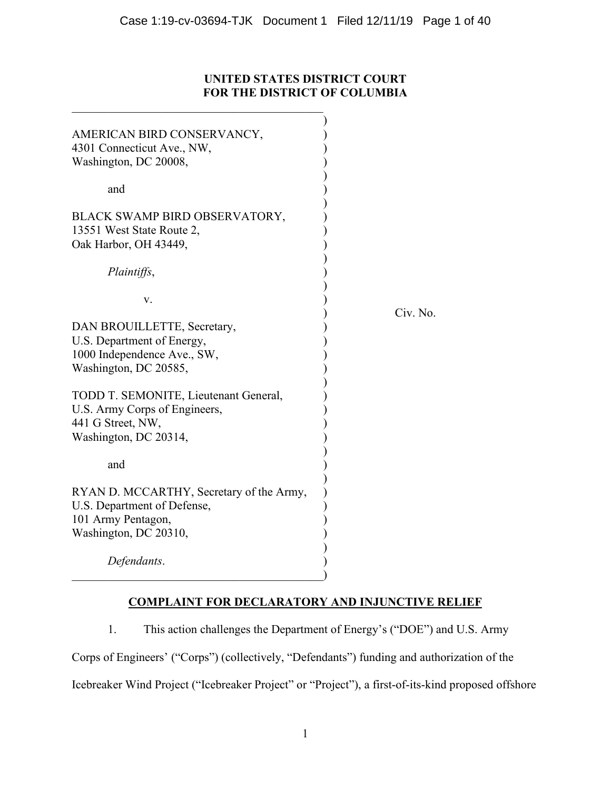# **UNITED STATES DISTRICT COURT FOR THE DISTRICT OF COLUMBIA**

| AMERICAN BIRD CONSERVANCY,               |          |
|------------------------------------------|----------|
| 4301 Connecticut Ave., NW,               |          |
| Washington, DC 20008,                    |          |
|                                          |          |
| and                                      |          |
|                                          |          |
| BLACK SWAMP BIRD OBSERVATORY,            |          |
| 13551 West State Route 2,                |          |
| Oak Harbor, OH 43449,                    |          |
|                                          |          |
| Plaintiffs,                              |          |
|                                          |          |
| V.                                       |          |
|                                          | Civ. No. |
| DAN BROUILLETTE, Secretary,              |          |
| U.S. Department of Energy,               |          |
| 1000 Independence Ave., SW,              |          |
| Washington, DC 20585,                    |          |
|                                          |          |
| TODD T. SEMONITE, Lieutenant General,    |          |
| U.S. Army Corps of Engineers,            |          |
|                                          |          |
| 441 G Street, NW,                        |          |
| Washington, DC 20314,                    |          |
|                                          |          |
| and                                      |          |
|                                          |          |
| RYAN D. MCCARTHY, Secretary of the Army, |          |
| U.S. Department of Defense,              |          |
| 101 Army Pentagon,                       |          |
| Washington, DC 20310,                    |          |
|                                          |          |
| Defendants.                              |          |
|                                          |          |

# **COMPLAINT FOR DECLARATORY AND INJUNCTIVE RELIEF**

1. This action challenges the Department of Energy's ("DOE") and U.S. Army Corps of Engineers' ("Corps") (collectively, "Defendants") funding and authorization of the Icebreaker Wind Project ("Icebreaker Project" or "Project"), a first-of-its-kind proposed offshore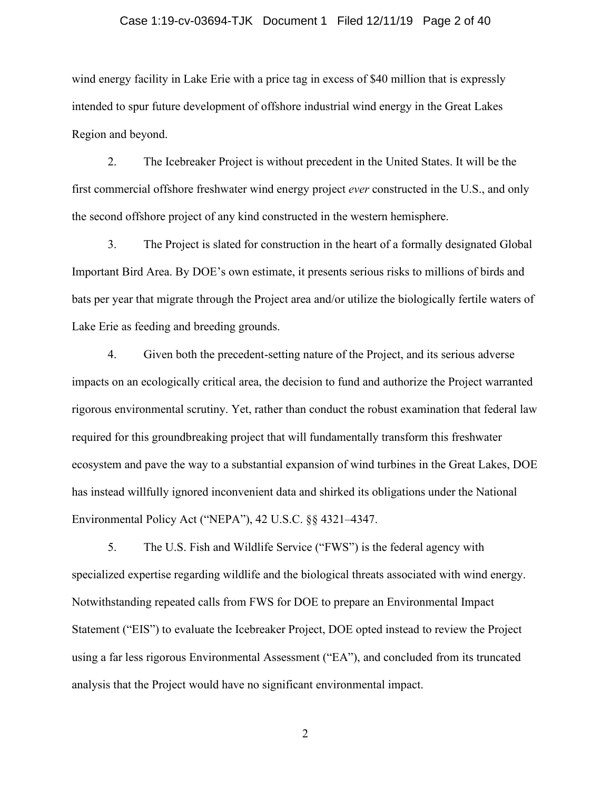#### Case 1:19-cv-03694-TJK Document 1 Filed 12/11/19 Page 2 of 40

wind energy facility in Lake Erie with a price tag in excess of \$40 million that is expressly intended to spur future development of offshore industrial wind energy in the Great Lakes Region and beyond.

2. The Icebreaker Project is without precedent in the United States. It will be the first commercial offshore freshwater wind energy project *ever* constructed in the U.S., and only the second offshore project of any kind constructed in the western hemisphere.

3. The Project is slated for construction in the heart of a formally designated Global Important Bird Area. By DOE's own estimate, it presents serious risks to millions of birds and bats per year that migrate through the Project area and/or utilize the biologically fertile waters of Lake Erie as feeding and breeding grounds.

4. Given both the precedent-setting nature of the Project, and its serious adverse impacts on an ecologically critical area, the decision to fund and authorize the Project warranted rigorous environmental scrutiny. Yet, rather than conduct the robust examination that federal law required for this groundbreaking project that will fundamentally transform this freshwater ecosystem and pave the way to a substantial expansion of wind turbines in the Great Lakes, DOE has instead willfully ignored inconvenient data and shirked its obligations under the National Environmental Policy Act ("NEPA"), 42 U.S.C. §§ 4321–4347.

5. The U.S. Fish and Wildlife Service ("FWS") is the federal agency with specialized expertise regarding wildlife and the biological threats associated with wind energy. Notwithstanding repeated calls from FWS for DOE to prepare an Environmental Impact Statement ("EIS") to evaluate the Icebreaker Project, DOE opted instead to review the Project using a far less rigorous Environmental Assessment ("EA"), and concluded from its truncated analysis that the Project would have no significant environmental impact.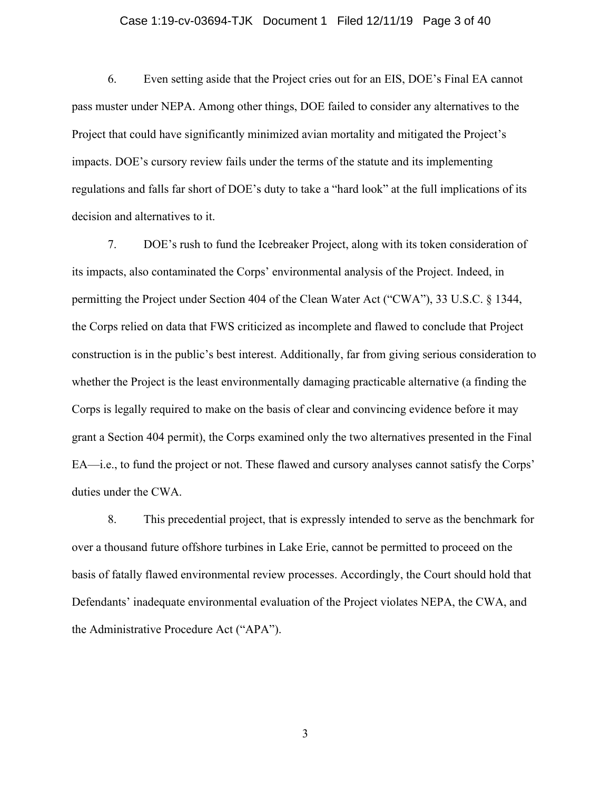#### Case 1:19-cv-03694-TJK Document 1 Filed 12/11/19 Page 3 of 40

6. Even setting aside that the Project cries out for an EIS, DOE's Final EA cannot pass muster under NEPA. Among other things, DOE failed to consider any alternatives to the Project that could have significantly minimized avian mortality and mitigated the Project's impacts. DOE's cursory review fails under the terms of the statute and its implementing regulations and falls far short of DOE's duty to take a "hard look" at the full implications of its decision and alternatives to it.

7. DOE's rush to fund the Icebreaker Project, along with its token consideration of its impacts, also contaminated the Corps' environmental analysis of the Project. Indeed, in permitting the Project under Section 404 of the Clean Water Act ("CWA"), 33 U.S.C. § 1344, the Corps relied on data that FWS criticized as incomplete and flawed to conclude that Project construction is in the public's best interest. Additionally, far from giving serious consideration to whether the Project is the least environmentally damaging practicable alternative (a finding the Corps is legally required to make on the basis of clear and convincing evidence before it may grant a Section 404 permit), the Corps examined only the two alternatives presented in the Final EA—i.e., to fund the project or not. These flawed and cursory analyses cannot satisfy the Corps' duties under the CWA.

8. This precedential project, that is expressly intended to serve as the benchmark for over a thousand future offshore turbines in Lake Erie, cannot be permitted to proceed on the basis of fatally flawed environmental review processes. Accordingly, the Court should hold that Defendants' inadequate environmental evaluation of the Project violates NEPA, the CWA, and the Administrative Procedure Act ("APA").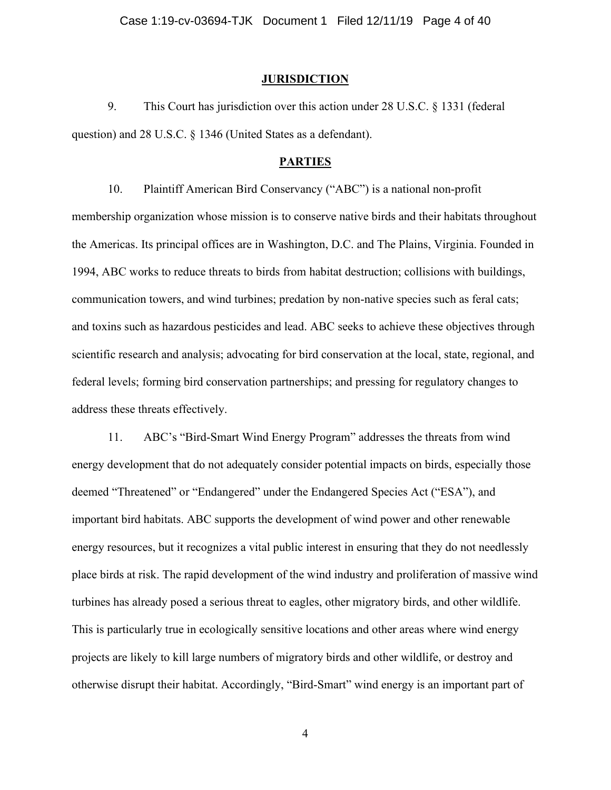#### **JURISDICTION**

9. This Court has jurisdiction over this action under 28 U.S.C. § 1331 (federal question) and 28 U.S.C. § 1346 (United States as a defendant).

#### **PARTIES**

10. Plaintiff American Bird Conservancy ("ABC") is a national non-profit membership organization whose mission is to conserve native birds and their habitats throughout the Americas. Its principal offices are in Washington, D.C. and The Plains, Virginia. Founded in 1994, ABC works to reduce threats to birds from habitat destruction; collisions with buildings, communication towers, and wind turbines; predation by non-native species such as feral cats; and toxins such as hazardous pesticides and lead. ABC seeks to achieve these objectives through scientific research and analysis; advocating for bird conservation at the local, state, regional, and federal levels; forming bird conservation partnerships; and pressing for regulatory changes to address these threats effectively.

11. ABC's "Bird-Smart Wind Energy Program" addresses the threats from wind energy development that do not adequately consider potential impacts on birds, especially those deemed "Threatened" or "Endangered" under the Endangered Species Act ("ESA"), and important bird habitats. ABC supports the development of wind power and other renewable energy resources, but it recognizes a vital public interest in ensuring that they do not needlessly place birds at risk. The rapid development of the wind industry and proliferation of massive wind turbines has already posed a serious threat to eagles, other migratory birds, and other wildlife. This is particularly true in ecologically sensitive locations and other areas where wind energy projects are likely to kill large numbers of migratory birds and other wildlife, or destroy and otherwise disrupt their habitat. Accordingly, "Bird-Smart" wind energy is an important part of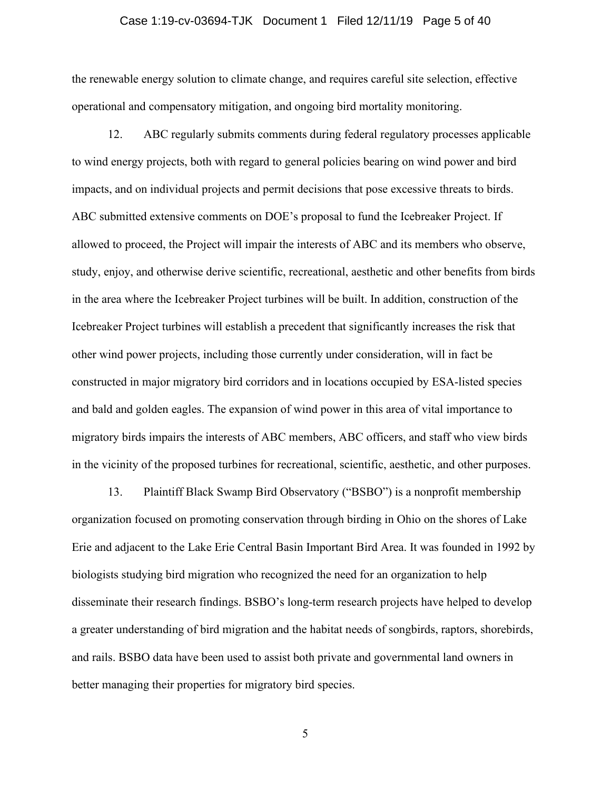#### Case 1:19-cv-03694-TJK Document 1 Filed 12/11/19 Page 5 of 40

the renewable energy solution to climate change, and requires careful site selection, effective operational and compensatory mitigation, and ongoing bird mortality monitoring.

12. ABC regularly submits comments during federal regulatory processes applicable to wind energy projects, both with regard to general policies bearing on wind power and bird impacts, and on individual projects and permit decisions that pose excessive threats to birds. ABC submitted extensive comments on DOE's proposal to fund the Icebreaker Project. If allowed to proceed, the Project will impair the interests of ABC and its members who observe, study, enjoy, and otherwise derive scientific, recreational, aesthetic and other benefits from birds in the area where the Icebreaker Project turbines will be built. In addition, construction of the Icebreaker Project turbines will establish a precedent that significantly increases the risk that other wind power projects, including those currently under consideration, will in fact be constructed in major migratory bird corridors and in locations occupied by ESA-listed species and bald and golden eagles. The expansion of wind power in this area of vital importance to migratory birds impairs the interests of ABC members, ABC officers, and staff who view birds in the vicinity of the proposed turbines for recreational, scientific, aesthetic, and other purposes.

13. Plaintiff Black Swamp Bird Observatory ("BSBO") is a nonprofit membership organization focused on promoting conservation through birding in Ohio on the shores of Lake Erie and adjacent to the Lake Erie Central Basin Important Bird Area. It was founded in 1992 by biologists studying bird migration who recognized the need for an organization to help disseminate their research findings. BSBO's long-term research projects have helped to develop a greater understanding of bird migration and the habitat needs of songbirds, raptors, shorebirds, and rails. BSBO data have been used to assist both private and governmental land owners in better managing their properties for migratory bird species.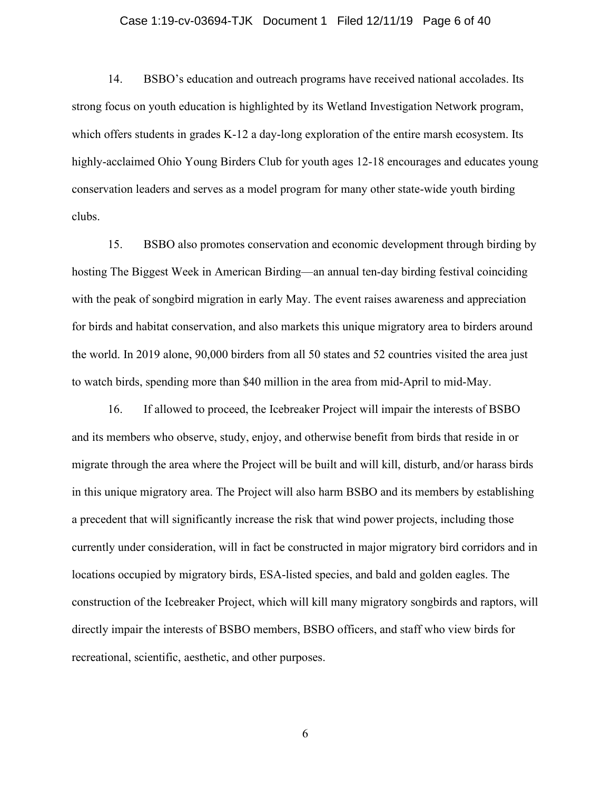#### Case 1:19-cv-03694-TJK Document 1 Filed 12/11/19 Page 6 of 40

14. BSBO's education and outreach programs have received national accolades. Its strong focus on youth education is highlighted by its Wetland Investigation Network program, which offers students in grades K-12 a day-long exploration of the entire marsh ecosystem. Its highly-acclaimed Ohio Young Birders Club for youth ages 12-18 encourages and educates young conservation leaders and serves as a model program for many other state-wide youth birding clubs.

15. BSBO also promotes conservation and economic development through birding by hosting The Biggest Week in American Birding—an annual ten-day birding festival coinciding with the peak of songbird migration in early May. The event raises awareness and appreciation for birds and habitat conservation, and also markets this unique migratory area to birders around the world. In 2019 alone, 90,000 birders from all 50 states and 52 countries visited the area just to watch birds, spending more than \$40 million in the area from mid-April to mid-May.

16. If allowed to proceed, the Icebreaker Project will impair the interests of BSBO and its members who observe, study, enjoy, and otherwise benefit from birds that reside in or migrate through the area where the Project will be built and will kill, disturb, and/or harass birds in this unique migratory area. The Project will also harm BSBO and its members by establishing a precedent that will significantly increase the risk that wind power projects, including those currently under consideration, will in fact be constructed in major migratory bird corridors and in locations occupied by migratory birds, ESA-listed species, and bald and golden eagles. The construction of the Icebreaker Project, which will kill many migratory songbirds and raptors, will directly impair the interests of BSBO members, BSBO officers, and staff who view birds for recreational, scientific, aesthetic, and other purposes.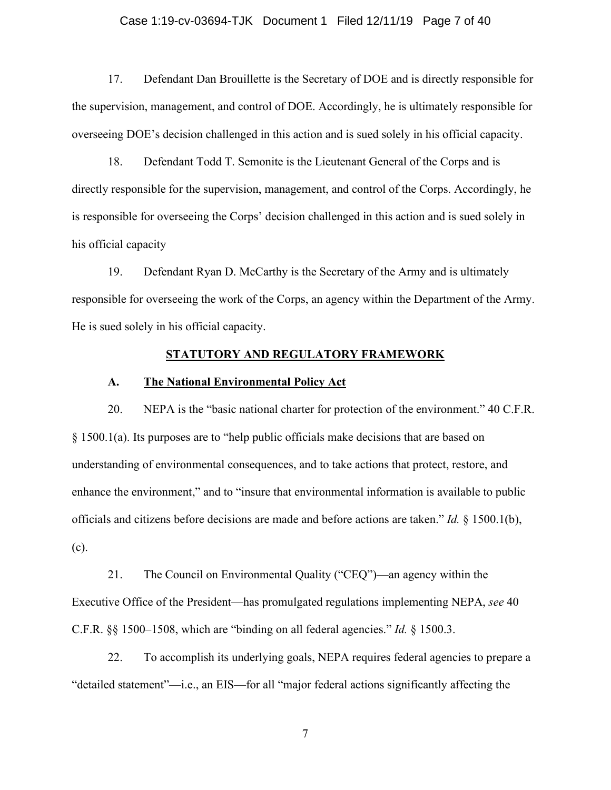#### Case 1:19-cv-03694-TJK Document 1 Filed 12/11/19 Page 7 of 40

17. Defendant Dan Brouillette is the Secretary of DOE and is directly responsible for the supervision, management, and control of DOE. Accordingly, he is ultimately responsible for overseeing DOE's decision challenged in this action and is sued solely in his official capacity.

18. Defendant Todd T. Semonite is the Lieutenant General of the Corps and is directly responsible for the supervision, management, and control of the Corps. Accordingly, he is responsible for overseeing the Corps' decision challenged in this action and is sued solely in his official capacity

19. Defendant Ryan D. McCarthy is the Secretary of the Army and is ultimately responsible for overseeing the work of the Corps, an agency within the Department of the Army. He is sued solely in his official capacity.

#### **STATUTORY AND REGULATORY FRAMEWORK**

#### **A. The National Environmental Policy Act**

20. NEPA is the "basic national charter for protection of the environment." 40 C.F.R. § 1500.1(a). Its purposes are to "help public officials make decisions that are based on understanding of environmental consequences, and to take actions that protect, restore, and enhance the environment," and to "insure that environmental information is available to public officials and citizens before decisions are made and before actions are taken." *Id.* § 1500.1(b), (c).

21. The Council on Environmental Quality ("CEQ")—an agency within the Executive Office of the President—has promulgated regulations implementing NEPA, *see* 40 C.F.R. §§ 1500–1508, which are "binding on all federal agencies." *Id.* § 1500.3.

22. To accomplish its underlying goals, NEPA requires federal agencies to prepare a "detailed statement"—i.e., an EIS—for all "major federal actions significantly affecting the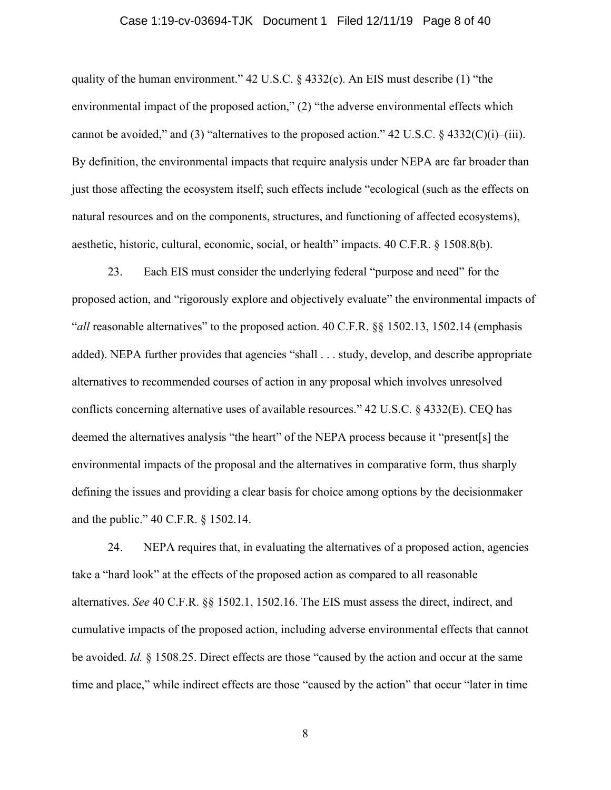#### Case 1:19-cv-03694-TJK Document 1 Filed 12/11/19 Page 8 of 40

quality of the human environment." 42 U.S.C. § 4332(c). An EIS must describe (1) "the environmental impact of the proposed action," (2) "the adverse environmental effects which cannot be avoided," and (3) "alternatives to the proposed action." 42 U.S.C.  $\S$  4332(C)(i)–(iii). By definition, the environmental impacts that require analysis under NEPA are far broader than just those affecting the ecosystem itself; such effects include "ecological (such as the effects on natural resources and on the components, structures, and functioning of affected ecosystems), aesthetic, historic, cultural, economic, social, or health" impacts. 40 C.F.R. § 1508.8(b).

23. Each EIS must consider the underlying federal "purpose and need" for the proposed action, and "rigorously explore and objectively evaluate" the environmental impacts of "*all* reasonable alternatives" to the proposed action. 40 C.F.R. §§ 1502.13, 1502.14 (emphasis added). NEPA further provides that agencies "shall . . . study, develop, and describe appropriate alternatives to recommended courses of action in any proposal which involves unresolved conflicts concerning alternative uses of available resources." 42 U.S.C. § 4332(E). CEQ has deemed the alternatives analysis "the heart" of the NEPA process because it "present[s] the environmental impacts of the proposal and the alternatives in comparative form, thus sharply defining the issues and providing a clear basis for choice among options by the decisionmaker and the public." 40 C.F.R. § 1502.14.

24. NEPA requires that, in evaluating the alternatives of a proposed action, agencies take a "hard look" at the effects of the proposed action as compared to all reasonable alternatives. *See* 40 C.F.R. §§ 1502.1, 1502.16. The EIS must assess the direct, indirect, and cumulative impacts of the proposed action, including adverse environmental effects that cannot be avoided. *Id.* § 1508.25. Direct effects are those "caused by the action and occur at the same time and place," while indirect effects are those "caused by the action" that occur "later in time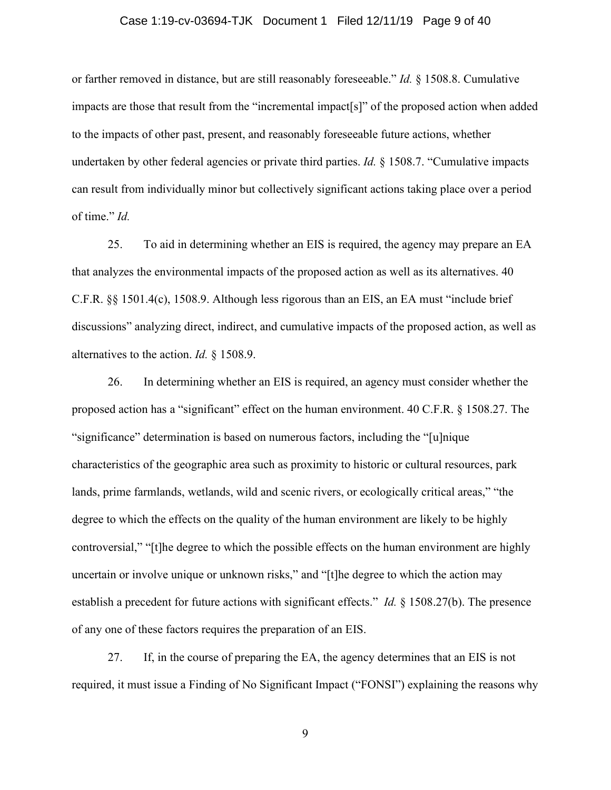#### Case 1:19-cv-03694-TJK Document 1 Filed 12/11/19 Page 9 of 40

or farther removed in distance, but are still reasonably foreseeable." *Id.* § 1508.8. Cumulative impacts are those that result from the "incremental impact[s]" of the proposed action when added to the impacts of other past, present, and reasonably foreseeable future actions, whether undertaken by other federal agencies or private third parties. *Id.* § 1508.7. "Cumulative impacts can result from individually minor but collectively significant actions taking place over a period of time." *Id.*

25. To aid in determining whether an EIS is required, the agency may prepare an EA that analyzes the environmental impacts of the proposed action as well as its alternatives. 40 C.F.R. §§ 1501.4(c), 1508.9. Although less rigorous than an EIS, an EA must "include brief discussions" analyzing direct, indirect, and cumulative impacts of the proposed action, as well as alternatives to the action. *Id.* § 1508.9.

26. In determining whether an EIS is required, an agency must consider whether the proposed action has a "significant" effect on the human environment. 40 C.F.R. § 1508.27. The "significance" determination is based on numerous factors, including the "[u]nique characteristics of the geographic area such as proximity to historic or cultural resources, park lands, prime farmlands, wetlands, wild and scenic rivers, or ecologically critical areas," "the degree to which the effects on the quality of the human environment are likely to be highly controversial," "[t]he degree to which the possible effects on the human environment are highly uncertain or involve unique or unknown risks," and "[t]he degree to which the action may establish a precedent for future actions with significant effects." *Id.* § 1508.27(b). The presence of any one of these factors requires the preparation of an EIS.

27. If, in the course of preparing the EA, the agency determines that an EIS is not required, it must issue a Finding of No Significant Impact ("FONSI") explaining the reasons why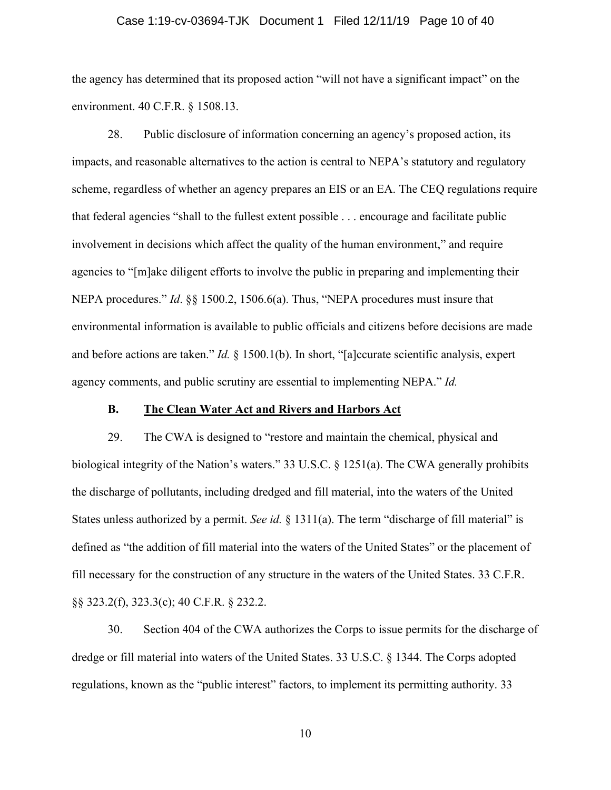#### Case 1:19-cv-03694-TJK Document 1 Filed 12/11/19 Page 10 of 40

the agency has determined that its proposed action "will not have a significant impact" on the environment. 40 C.F.R. § 1508.13.

28. Public disclosure of information concerning an agency's proposed action, its impacts, and reasonable alternatives to the action is central to NEPA's statutory and regulatory scheme, regardless of whether an agency prepares an EIS or an EA. The CEQ regulations require that federal agencies "shall to the fullest extent possible . . . encourage and facilitate public involvement in decisions which affect the quality of the human environment," and require agencies to "[m]ake diligent efforts to involve the public in preparing and implementing their NEPA procedures." *Id*. §§ 1500.2, 1506.6(a). Thus, "NEPA procedures must insure that environmental information is available to public officials and citizens before decisions are made and before actions are taken." *Id.* § 1500.1(b). In short, "[a]ccurate scientific analysis, expert agency comments, and public scrutiny are essential to implementing NEPA." *Id.*

### **B. The Clean Water Act and Rivers and Harbors Act**

29. The CWA is designed to "restore and maintain the chemical, physical and biological integrity of the Nation's waters." 33 U.S.C. § 1251(a). The CWA generally prohibits the discharge of pollutants, including dredged and fill material, into the waters of the United States unless authorized by a permit. *See id.* § 1311(a). The term "discharge of fill material" is defined as "the addition of fill material into the waters of the United States" or the placement of fill necessary for the construction of any structure in the waters of the United States. 33 C.F.R. §§ 323.2(f), 323.3(c); 40 C.F.R. § 232.2.

30. Section 404 of the CWA authorizes the Corps to issue permits for the discharge of dredge or fill material into waters of the United States. 33 U.S.C. § 1344. The Corps adopted regulations, known as the "public interest" factors, to implement its permitting authority. 33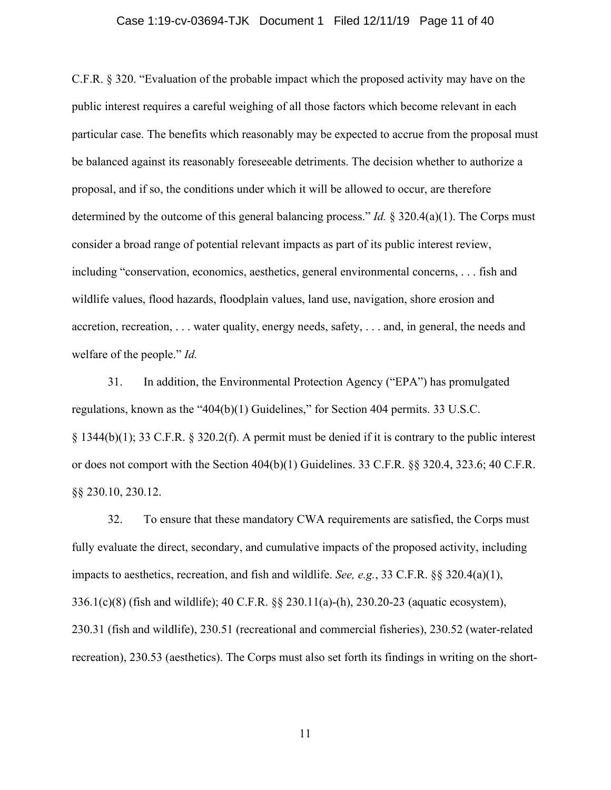#### Case 1:19-cv-03694-TJK Document 1 Filed 12/11/19 Page 11 of 40

C.F.R. § 320. "Evaluation of the probable impact which the proposed activity may have on the public interest requires a careful weighing of all those factors which become relevant in each particular case. The benefits which reasonably may be expected to accrue from the proposal must be balanced against its reasonably foreseeable detriments. The decision whether to authorize a proposal, and if so, the conditions under which it will be allowed to occur, are therefore determined by the outcome of this general balancing process." *Id.* § 320.4(a)(1). The Corps must consider a broad range of potential relevant impacts as part of its public interest review, including "conservation, economics, aesthetics, general environmental concerns, . . . fish and wildlife values, flood hazards, floodplain values, land use, navigation, shore erosion and accretion, recreation, . . . water quality, energy needs, safety, . . . and, in general, the needs and welfare of the people." *Id.*

31. In addition, the Environmental Protection Agency ("EPA") has promulgated regulations, known as the "404(b)(1) Guidelines," for Section 404 permits. 33 U.S.C. § 1344(b)(1); 33 C.F.R. § 320.2(f). A permit must be denied if it is contrary to the public interest or does not comport with the Section 404(b)(1) Guidelines. 33 C.F.R. §§ 320.4, 323.6; 40 C.F.R. §§ 230.10, 230.12.

32. To ensure that these mandatory CWA requirements are satisfied, the Corps must fully evaluate the direct, secondary, and cumulative impacts of the proposed activity, including impacts to aesthetics, recreation, and fish and wildlife. *See, e.g.*, 33 C.F.R. §§ 320.4(a)(1), 336.1(c)(8) (fish and wildlife); 40 C.F.R. §§ 230.11(a)-(h), 230.20-23 (aquatic ecosystem), 230.31 (fish and wildlife), 230.51 (recreational and commercial fisheries), 230.52 (water-related recreation), 230.53 (aesthetics). The Corps must also set forth its findings in writing on the short-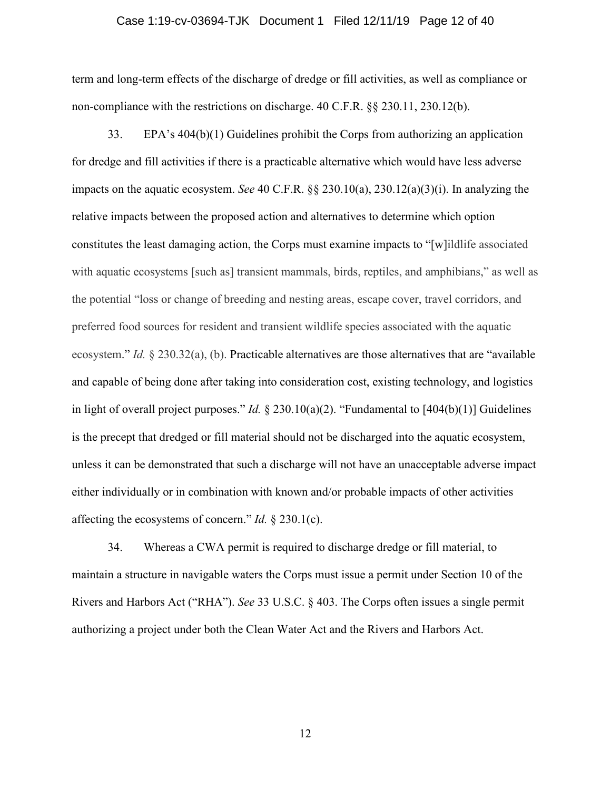#### Case 1:19-cv-03694-TJK Document 1 Filed 12/11/19 Page 12 of 40

term and long-term effects of the discharge of dredge or fill activities, as well as compliance or non-compliance with the restrictions on discharge. 40 C.F.R. §§ 230.11, 230.12(b).

33. EPA's 404(b)(1) Guidelines prohibit the Corps from authorizing an application for dredge and fill activities if there is a practicable alternative which would have less adverse impacts on the aquatic ecosystem. *See* 40 C.F.R. §§ 230.10(a), 230.12(a)(3)(i). In analyzing the relative impacts between the proposed action and alternatives to determine which option constitutes the least damaging action, the Corps must examine impacts to "[w]ildlife associated with aquatic ecosystems [such as] transient mammals, birds, reptiles, and amphibians," as well as the potential "loss or change of breeding and nesting areas, escape cover, travel corridors, and preferred food sources for resident and transient wildlife species associated with the aquatic ecosystem." *Id.* § 230.32(a), (b). Practicable alternatives are those alternatives that are "available and capable of being done after taking into consideration cost, existing technology, and logistics in light of overall project purposes." *Id.* § 230.10(a)(2). "Fundamental to [404(b)(1)] Guidelines is the precept that dredged or fill material should not be discharged into the aquatic ecosystem, unless it can be demonstrated that such a discharge will not have an unacceptable adverse impact either individually or in combination with known and/or probable impacts of other activities affecting the ecosystems of concern." *Id.* § 230.1(c).

34. Whereas a CWA permit is required to discharge dredge or fill material, to maintain a structure in navigable waters the Corps must issue a permit under Section 10 of the Rivers and Harbors Act ("RHA"). *See* 33 U.S.C. § 403. The Corps often issues a single permit authorizing a project under both the Clean Water Act and the Rivers and Harbors Act.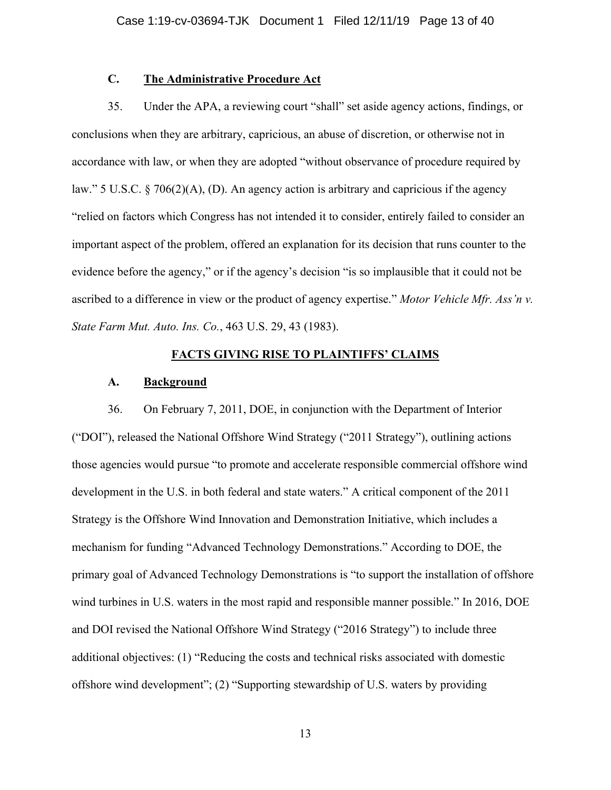# **C. The Administrative Procedure Act**

35. Under the APA, a reviewing court "shall" set aside agency actions, findings, or conclusions when they are arbitrary, capricious, an abuse of discretion, or otherwise not in accordance with law, or when they are adopted "without observance of procedure required by law." 5 U.S.C. § 706(2)(A), (D). An agency action is arbitrary and capricious if the agency "relied on factors which Congress has not intended it to consider, entirely failed to consider an important aspect of the problem, offered an explanation for its decision that runs counter to the evidence before the agency," or if the agency's decision "is so implausible that it could not be ascribed to a difference in view or the product of agency expertise." *Motor Vehicle Mfr. Ass'n v. State Farm Mut. Auto. Ins. Co.*, 463 U.S. 29, 43 (1983).

### **FACTS GIVING RISE TO PLAINTIFFS' CLAIMS**

#### **A. Background**

36. On February 7, 2011, DOE, in conjunction with the Department of Interior ("DOI"), released the National Offshore Wind Strategy ("2011 Strategy"), outlining actions those agencies would pursue "to promote and accelerate responsible commercial offshore wind development in the U.S. in both federal and state waters." A critical component of the 2011 Strategy is the Offshore Wind Innovation and Demonstration Initiative, which includes a mechanism for funding "Advanced Technology Demonstrations." According to DOE, the primary goal of Advanced Technology Demonstrations is "to support the installation of offshore wind turbines in U.S. waters in the most rapid and responsible manner possible." In 2016, DOE and DOI revised the National Offshore Wind Strategy ("2016 Strategy") to include three additional objectives: (1) "Reducing the costs and technical risks associated with domestic offshore wind development"; (2) "Supporting stewardship of U.S. waters by providing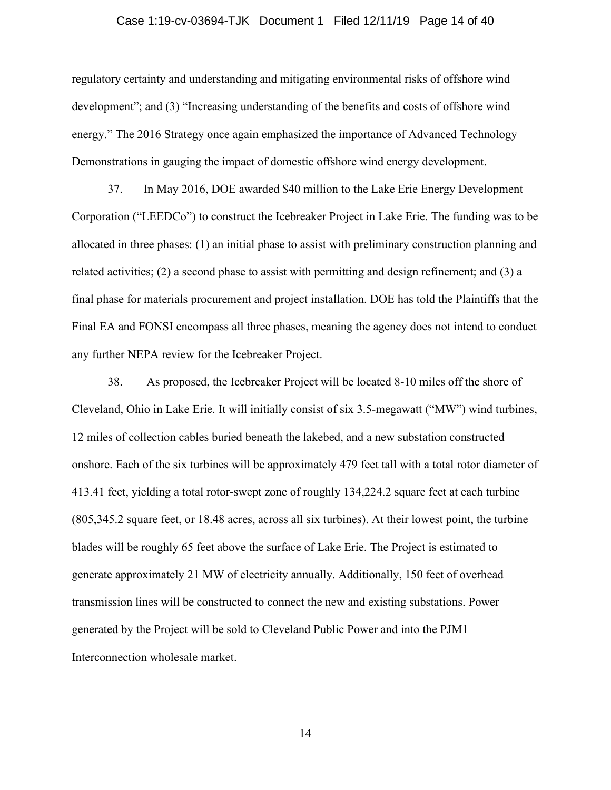#### Case 1:19-cv-03694-TJK Document 1 Filed 12/11/19 Page 14 of 40

regulatory certainty and understanding and mitigating environmental risks of offshore wind development"; and (3) "Increasing understanding of the benefits and costs of offshore wind energy." The 2016 Strategy once again emphasized the importance of Advanced Technology Demonstrations in gauging the impact of domestic offshore wind energy development.

37. In May 2016, DOE awarded \$40 million to the Lake Erie Energy Development Corporation ("LEEDCo") to construct the Icebreaker Project in Lake Erie. The funding was to be allocated in three phases: (1) an initial phase to assist with preliminary construction planning and related activities; (2) a second phase to assist with permitting and design refinement; and (3) a final phase for materials procurement and project installation. DOE has told the Plaintiffs that the Final EA and FONSI encompass all three phases, meaning the agency does not intend to conduct any further NEPA review for the Icebreaker Project.

38. As proposed, the Icebreaker Project will be located 8-10 miles off the shore of Cleveland, Ohio in Lake Erie. It will initially consist of six 3.5-megawatt ("MW") wind turbines, 12 miles of collection cables buried beneath the lakebed, and a new substation constructed onshore. Each of the six turbines will be approximately 479 feet tall with a total rotor diameter of 413.41 feet, yielding a total rotor-swept zone of roughly 134,224.2 square feet at each turbine (805,345.2 square feet, or 18.48 acres, across all six turbines). At their lowest point, the turbine blades will be roughly 65 feet above the surface of Lake Erie. The Project is estimated to generate approximately 21 MW of electricity annually. Additionally, 150 feet of overhead transmission lines will be constructed to connect the new and existing substations. Power generated by the Project will be sold to Cleveland Public Power and into the PJM1 Interconnection wholesale market.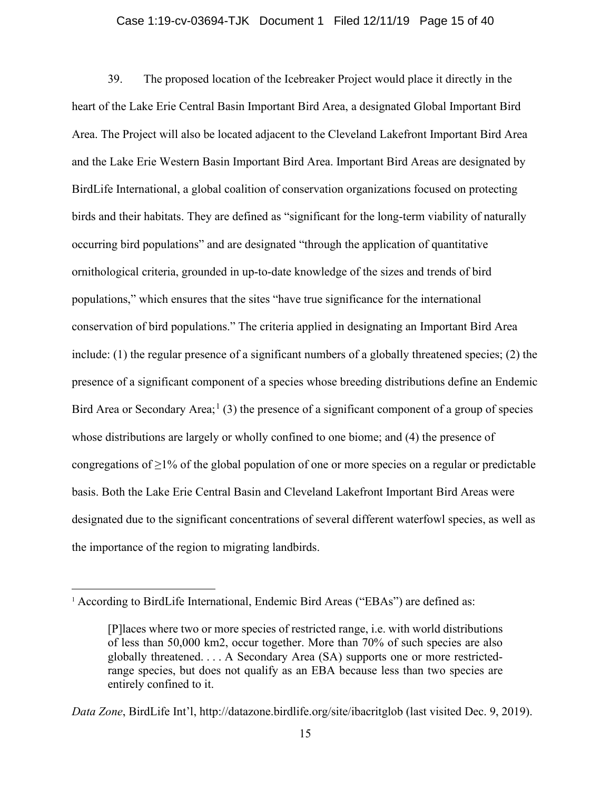#### Case 1:19-cv-03694-TJK Document 1 Filed 12/11/19 Page 15 of 40

39. The proposed location of the Icebreaker Project would place it directly in the heart of the Lake Erie Central Basin Important Bird Area, a designated Global Important Bird Area. The Project will also be located adjacent to the Cleveland Lakefront Important Bird Area and the Lake Erie Western Basin Important Bird Area. Important Bird Areas are designated by BirdLife International, a global coalition of conservation organizations focused on protecting birds and their habitats. They are defined as "significant for the long-term viability of naturally occurring bird populations" and are designated "through the application of quantitative ornithological criteria, grounded in up-to-date knowledge of the sizes and trends of bird populations," which ensures that the sites "have true significance for the international conservation of bird populations." The criteria applied in designating an Important Bird Area include: (1) the regular presence of a significant numbers of a globally threatened species; (2) the presence of a significant component of a species whose breeding distributions define an Endemic Bird Area or Secondary Area;<sup>[1](#page-14-0)</sup> (3) the presence of a significant component of a group of species whose distributions are largely or wholly confined to one biome; and (4) the presence of congregations of  $\geq$ 1% of the global population of one or more species on a regular or predictable basis. Both the Lake Erie Central Basin and Cleveland Lakefront Important Bird Areas were designated due to the significant concentrations of several different waterfowl species, as well as the importance of the region to migrating landbirds.

<span id="page-14-0"></span><sup>&</sup>lt;sup>1</sup> According to BirdLife International, Endemic Bird Areas ("EBAs") are defined as:

<sup>[</sup>P]laces where two or more species of restricted range, i.e. with world distributions of less than 50,000 km2, occur together. More than 70% of such species are also globally threatened. . . . A Secondary Area (SA) supports one or more restrictedrange species, but does not qualify as an EBA because less than two species are entirely confined to it.

*Data Zone*, BirdLife Int'l, http://datazone.birdlife.org/site/ibacritglob (last visited Dec. 9, 2019).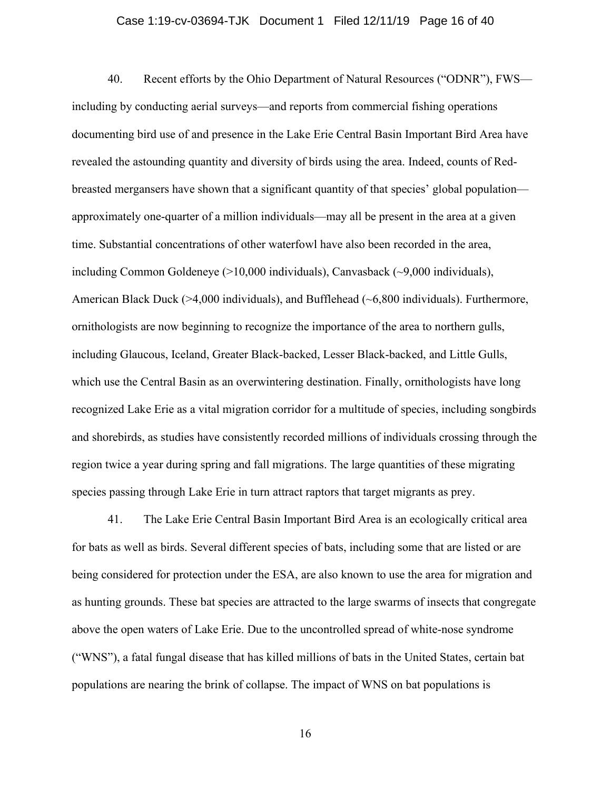#### Case 1:19-cv-03694-TJK Document 1 Filed 12/11/19 Page 16 of 40

40. Recent efforts by the Ohio Department of Natural Resources ("ODNR"), FWS including by conducting aerial surveys—and reports from commercial fishing operations documenting bird use of and presence in the Lake Erie Central Basin Important Bird Area have revealed the astounding quantity and diversity of birds using the area. Indeed, counts of Redbreasted mergansers have shown that a significant quantity of that species' global population approximately one-quarter of a million individuals—may all be present in the area at a given time. Substantial concentrations of other waterfowl have also been recorded in the area, including Common Goldeneye (>10,000 individuals), Canvasback (~9,000 individuals), American Black Duck (>4,000 individuals), and Bufflehead (~6,800 individuals). Furthermore, ornithologists are now beginning to recognize the importance of the area to northern gulls, including Glaucous, Iceland, Greater Black-backed, Lesser Black-backed, and Little Gulls, which use the Central Basin as an overwintering destination. Finally, ornithologists have long recognized Lake Erie as a vital migration corridor for a multitude of species, including songbirds and shorebirds, as studies have consistently recorded millions of individuals crossing through the region twice a year during spring and fall migrations. The large quantities of these migrating species passing through Lake Erie in turn attract raptors that target migrants as prey.

41. The Lake Erie Central Basin Important Bird Area is an ecologically critical area for bats as well as birds. Several different species of bats, including some that are listed or are being considered for protection under the ESA, are also known to use the area for migration and as hunting grounds. These bat species are attracted to the large swarms of insects that congregate above the open waters of Lake Erie. Due to the uncontrolled spread of white-nose syndrome ("WNS"), a fatal fungal disease that has killed millions of bats in the United States, certain bat populations are nearing the brink of collapse. The impact of WNS on bat populations is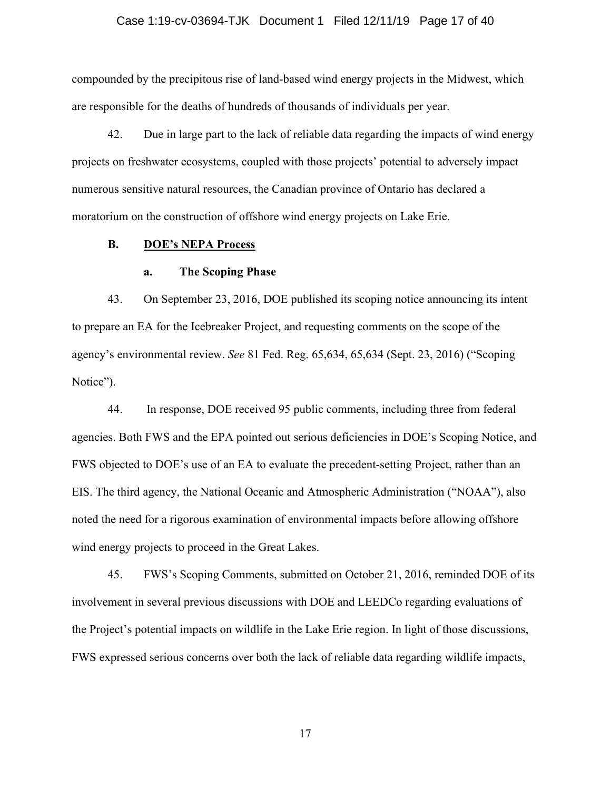#### Case 1:19-cv-03694-TJK Document 1 Filed 12/11/19 Page 17 of 40

compounded by the precipitous rise of land-based wind energy projects in the Midwest, which are responsible for the deaths of hundreds of thousands of individuals per year.

42. Due in large part to the lack of reliable data regarding the impacts of wind energy projects on freshwater ecosystems, coupled with those projects' potential to adversely impact numerous sensitive natural resources, the Canadian province of Ontario has declared a moratorium on the construction of offshore wind energy projects on Lake Erie.

### **B. DOE's NEPA Process**

#### **a. The Scoping Phase**

43. On September 23, 2016, DOE published its scoping notice announcing its intent to prepare an EA for the Icebreaker Project, and requesting comments on the scope of the agency's environmental review. *See* 81 Fed. Reg. 65,634, 65,634 (Sept. 23, 2016) ("Scoping Notice").

44. In response, DOE received 95 public comments, including three from federal agencies. Both FWS and the EPA pointed out serious deficiencies in DOE's Scoping Notice, and FWS objected to DOE's use of an EA to evaluate the precedent-setting Project, rather than an EIS. The third agency, the National Oceanic and Atmospheric Administration ("NOAA"), also noted the need for a rigorous examination of environmental impacts before allowing offshore wind energy projects to proceed in the Great Lakes.

45. FWS's Scoping Comments, submitted on October 21, 2016, reminded DOE of its involvement in several previous discussions with DOE and LEEDCo regarding evaluations of the Project's potential impacts on wildlife in the Lake Erie region. In light of those discussions, FWS expressed serious concerns over both the lack of reliable data regarding wildlife impacts,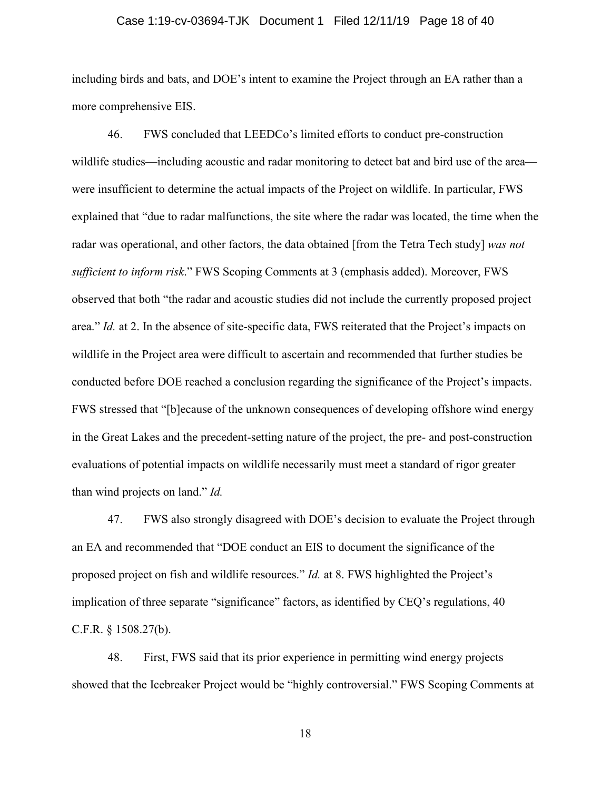#### Case 1:19-cv-03694-TJK Document 1 Filed 12/11/19 Page 18 of 40

including birds and bats, and DOE's intent to examine the Project through an EA rather than a more comprehensive EIS.

46. FWS concluded that LEEDCo's limited efforts to conduct pre-construction wildlife studies—including acoustic and radar monitoring to detect bat and bird use of the area were insufficient to determine the actual impacts of the Project on wildlife. In particular, FWS explained that "due to radar malfunctions, the site where the radar was located, the time when the radar was operational, and other factors, the data obtained [from the Tetra Tech study] *was not sufficient to inform risk*." FWS Scoping Comments at 3 (emphasis added). Moreover, FWS observed that both "the radar and acoustic studies did not include the currently proposed project area." *Id.* at 2. In the absence of site-specific data, FWS reiterated that the Project's impacts on wildlife in the Project area were difficult to ascertain and recommended that further studies be conducted before DOE reached a conclusion regarding the significance of the Project's impacts. FWS stressed that "[b]ecause of the unknown consequences of developing offshore wind energy in the Great Lakes and the precedent-setting nature of the project, the pre- and post-construction evaluations of potential impacts on wildlife necessarily must meet a standard of rigor greater than wind projects on land." *Id.*

47. FWS also strongly disagreed with DOE's decision to evaluate the Project through an EA and recommended that "DOE conduct an EIS to document the significance of the proposed project on fish and wildlife resources." *Id.* at 8. FWS highlighted the Project's implication of three separate "significance" factors, as identified by CEQ's regulations, 40 C.F.R. § 1508.27(b).

48. First, FWS said that its prior experience in permitting wind energy projects showed that the Icebreaker Project would be "highly controversial." FWS Scoping Comments at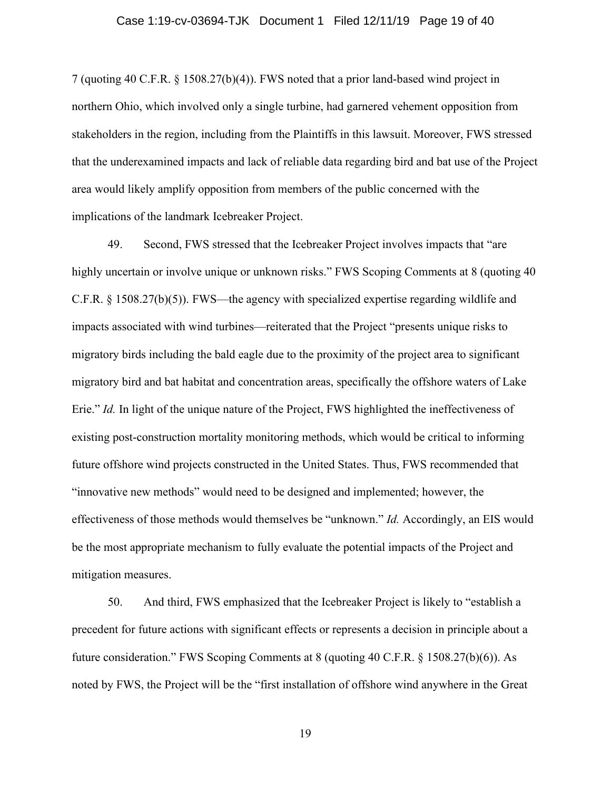#### Case 1:19-cv-03694-TJK Document 1 Filed 12/11/19 Page 19 of 40

7 (quoting 40 C.F.R. § 1508.27(b)(4)). FWS noted that a prior land-based wind project in northern Ohio, which involved only a single turbine, had garnered vehement opposition from stakeholders in the region, including from the Plaintiffs in this lawsuit. Moreover, FWS stressed that the underexamined impacts and lack of reliable data regarding bird and bat use of the Project area would likely amplify opposition from members of the public concerned with the implications of the landmark Icebreaker Project.

49. Second, FWS stressed that the Icebreaker Project involves impacts that "are highly uncertain or involve unique or unknown risks." FWS Scoping Comments at 8 (quoting 40 C.F.R. § 1508.27(b)(5)). FWS—the agency with specialized expertise regarding wildlife and impacts associated with wind turbines—reiterated that the Project "presents unique risks to migratory birds including the bald eagle due to the proximity of the project area to significant migratory bird and bat habitat and concentration areas, specifically the offshore waters of Lake Erie." *Id.* In light of the unique nature of the Project, FWS highlighted the ineffectiveness of existing post-construction mortality monitoring methods, which would be critical to informing future offshore wind projects constructed in the United States. Thus, FWS recommended that "innovative new methods" would need to be designed and implemented; however, the effectiveness of those methods would themselves be "unknown." *Id.* Accordingly, an EIS would be the most appropriate mechanism to fully evaluate the potential impacts of the Project and mitigation measures.

50. And third, FWS emphasized that the Icebreaker Project is likely to "establish a precedent for future actions with significant effects or represents a decision in principle about a future consideration." FWS Scoping Comments at 8 (quoting 40 C.F.R. § 1508.27(b)(6)). As noted by FWS, the Project will be the "first installation of offshore wind anywhere in the Great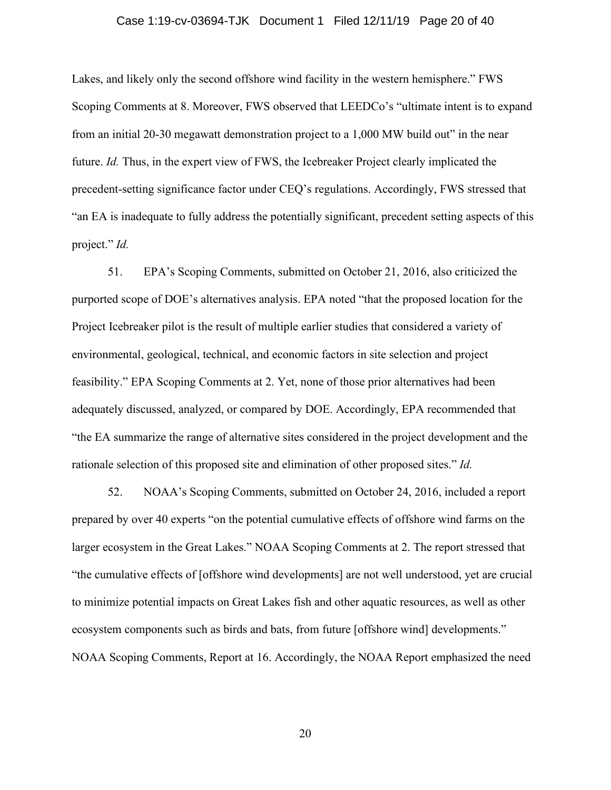#### Case 1:19-cv-03694-TJK Document 1 Filed 12/11/19 Page 20 of 40

Lakes, and likely only the second offshore wind facility in the western hemisphere." FWS Scoping Comments at 8. Moreover, FWS observed that LEEDCo's "ultimate intent is to expand from an initial 20-30 megawatt demonstration project to a 1,000 MW build out" in the near future. *Id.* Thus, in the expert view of FWS, the Icebreaker Project clearly implicated the precedent-setting significance factor under CEQ's regulations. Accordingly, FWS stressed that "an EA is inadequate to fully address the potentially significant, precedent setting aspects of this project." *Id.*

51. EPA's Scoping Comments, submitted on October 21, 2016, also criticized the purported scope of DOE's alternatives analysis. EPA noted "that the proposed location for the Project Icebreaker pilot is the result of multiple earlier studies that considered a variety of environmental, geological, technical, and economic factors in site selection and project feasibility." EPA Scoping Comments at 2. Yet, none of those prior alternatives had been adequately discussed, analyzed, or compared by DOE. Accordingly, EPA recommended that "the EA summarize the range of alternative sites considered in the project development and the rationale selection of this proposed site and elimination of other proposed sites." *Id.*

52. NOAA's Scoping Comments, submitted on October 24, 2016, included a report prepared by over 40 experts "on the potential cumulative effects of offshore wind farms on the larger ecosystem in the Great Lakes." NOAA Scoping Comments at 2. The report stressed that "the cumulative effects of [offshore wind developments] are not well understood, yet are crucial to minimize potential impacts on Great Lakes fish and other aquatic resources, as well as other ecosystem components such as birds and bats, from future [offshore wind] developments." NOAA Scoping Comments, Report at 16. Accordingly, the NOAA Report emphasized the need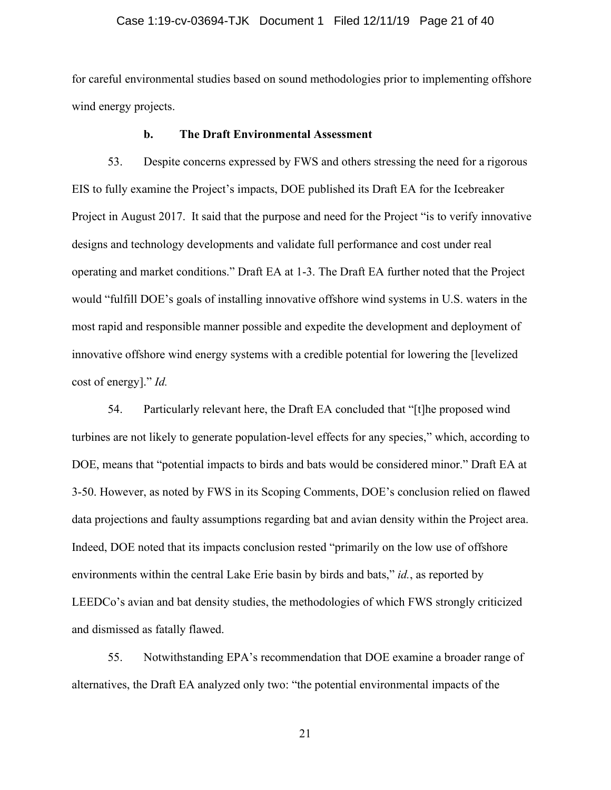#### Case 1:19-cv-03694-TJK Document 1 Filed 12/11/19 Page 21 of 40

for careful environmental studies based on sound methodologies prior to implementing offshore wind energy projects.

#### **b. The Draft Environmental Assessment**

53. Despite concerns expressed by FWS and others stressing the need for a rigorous EIS to fully examine the Project's impacts, DOE published its Draft EA for the Icebreaker Project in August 2017. It said that the purpose and need for the Project "is to verify innovative designs and technology developments and validate full performance and cost under real operating and market conditions." Draft EA at 1-3. The Draft EA further noted that the Project would "fulfill DOE's goals of installing innovative offshore wind systems in U.S. waters in the most rapid and responsible manner possible and expedite the development and deployment of innovative offshore wind energy systems with a credible potential for lowering the [levelized cost of energy]." *Id.*

54. Particularly relevant here, the Draft EA concluded that "[t]he proposed wind turbines are not likely to generate population-level effects for any species," which, according to DOE, means that "potential impacts to birds and bats would be considered minor." Draft EA at 3-50. However, as noted by FWS in its Scoping Comments, DOE's conclusion relied on flawed data projections and faulty assumptions regarding bat and avian density within the Project area. Indeed, DOE noted that its impacts conclusion rested "primarily on the low use of offshore environments within the central Lake Erie basin by birds and bats," *id.*, as reported by LEEDCo's avian and bat density studies, the methodologies of which FWS strongly criticized and dismissed as fatally flawed.

55. Notwithstanding EPA's recommendation that DOE examine a broader range of alternatives, the Draft EA analyzed only two: "the potential environmental impacts of the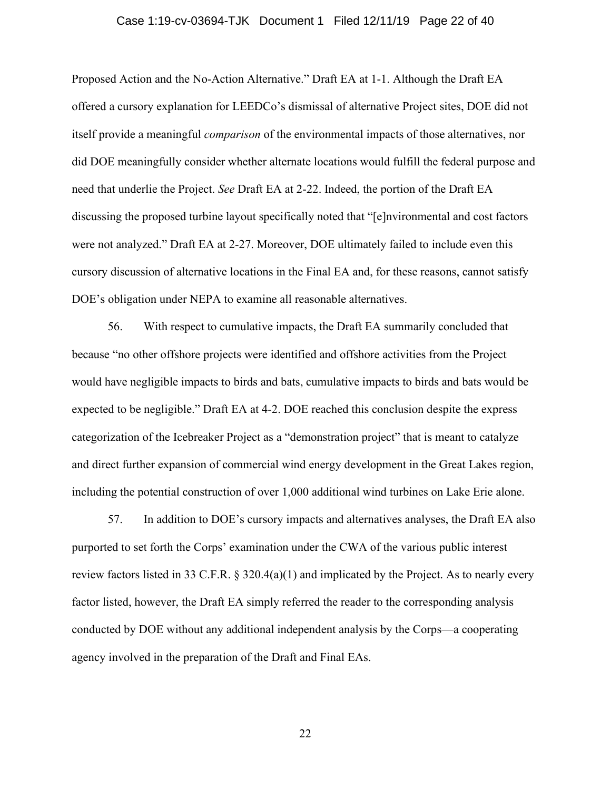#### Case 1:19-cv-03694-TJK Document 1 Filed 12/11/19 Page 22 of 40

Proposed Action and the No-Action Alternative." Draft EA at 1-1. Although the Draft EA offered a cursory explanation for LEEDCo's dismissal of alternative Project sites, DOE did not itself provide a meaningful *comparison* of the environmental impacts of those alternatives, nor did DOE meaningfully consider whether alternate locations would fulfill the federal purpose and need that underlie the Project. *See* Draft EA at 2-22. Indeed, the portion of the Draft EA discussing the proposed turbine layout specifically noted that "[e]nvironmental and cost factors were not analyzed." Draft EA at 2-27. Moreover, DOE ultimately failed to include even this cursory discussion of alternative locations in the Final EA and, for these reasons, cannot satisfy DOE's obligation under NEPA to examine all reasonable alternatives.

56. With respect to cumulative impacts, the Draft EA summarily concluded that because "no other offshore projects were identified and offshore activities from the Project would have negligible impacts to birds and bats, cumulative impacts to birds and bats would be expected to be negligible." Draft EA at 4-2. DOE reached this conclusion despite the express categorization of the Icebreaker Project as a "demonstration project" that is meant to catalyze and direct further expansion of commercial wind energy development in the Great Lakes region, including the potential construction of over 1,000 additional wind turbines on Lake Erie alone.

57. In addition to DOE's cursory impacts and alternatives analyses, the Draft EA also purported to set forth the Corps' examination under the CWA of the various public interest review factors listed in 33 C.F.R.  $\S$  320.4(a)(1) and implicated by the Project. As to nearly every factor listed, however, the Draft EA simply referred the reader to the corresponding analysis conducted by DOE without any additional independent analysis by the Corps—a cooperating agency involved in the preparation of the Draft and Final EAs.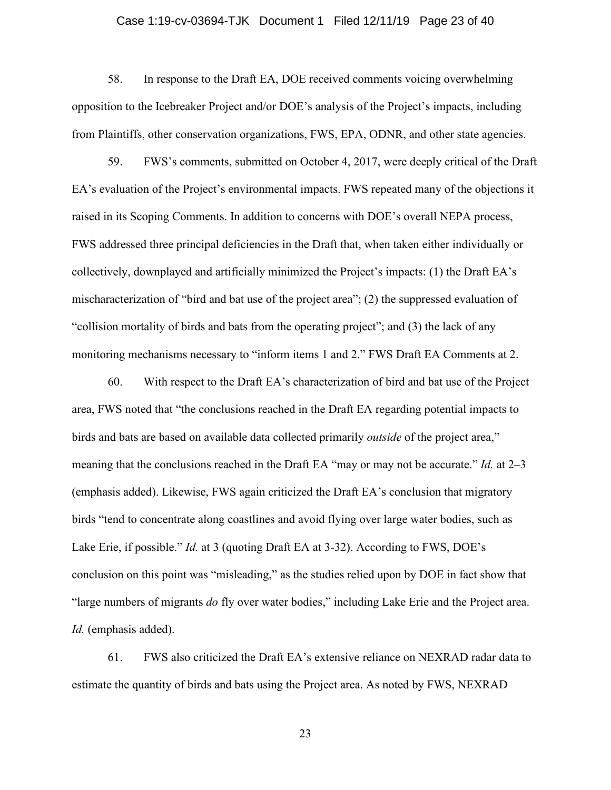#### Case 1:19-cv-03694-TJK Document 1 Filed 12/11/19 Page 23 of 40

58. In response to the Draft EA, DOE received comments voicing overwhelming opposition to the Icebreaker Project and/or DOE's analysis of the Project's impacts, including from Plaintiffs, other conservation organizations, FWS, EPA, ODNR, and other state agencies.

59. FWS's comments, submitted on October 4, 2017, were deeply critical of the Draft EA's evaluation of the Project's environmental impacts. FWS repeated many of the objections it raised in its Scoping Comments. In addition to concerns with DOE's overall NEPA process, FWS addressed three principal deficiencies in the Draft that, when taken either individually or collectively, downplayed and artificially minimized the Project's impacts: (1) the Draft EA's mischaracterization of "bird and bat use of the project area"; (2) the suppressed evaluation of "collision mortality of birds and bats from the operating project"; and (3) the lack of any monitoring mechanisms necessary to "inform items 1 and 2." FWS Draft EA Comments at 2.

60. With respect to the Draft EA's characterization of bird and bat use of the Project area, FWS noted that "the conclusions reached in the Draft EA regarding potential impacts to birds and bats are based on available data collected primarily *outside* of the project area," meaning that the conclusions reached in the Draft EA "may or may not be accurate." *Id.* at 2–3 (emphasis added). Likewise, FWS again criticized the Draft EA's conclusion that migratory birds "tend to concentrate along coastlines and avoid flying over large water bodies, such as Lake Erie, if possible." *Id.* at 3 (quoting Draft EA at 3-32). According to FWS, DOE's conclusion on this point was "misleading," as the studies relied upon by DOE in fact show that "large numbers of migrants *do* fly over water bodies," including Lake Erie and the Project area. *Id.* (emphasis added).

61. FWS also criticized the Draft EA's extensive reliance on NEXRAD radar data to estimate the quantity of birds and bats using the Project area. As noted by FWS, NEXRAD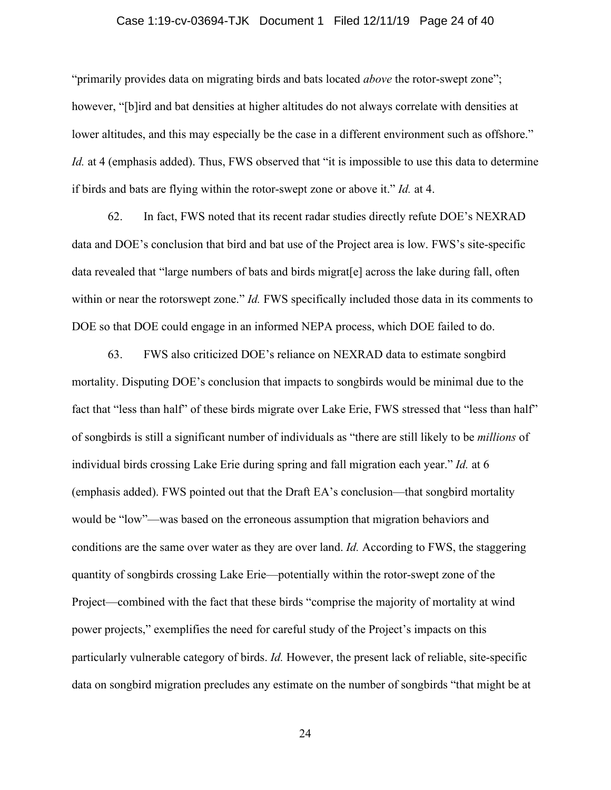#### Case 1:19-cv-03694-TJK Document 1 Filed 12/11/19 Page 24 of 40

"primarily provides data on migrating birds and bats located *above* the rotor-swept zone"; however, "[b]ird and bat densities at higher altitudes do not always correlate with densities at lower altitudes, and this may especially be the case in a different environment such as offshore." *Id.* at 4 (emphasis added). Thus, FWS observed that "it is impossible to use this data to determine if birds and bats are flying within the rotor-swept zone or above it." *Id.* at 4.

62. In fact, FWS noted that its recent radar studies directly refute DOE's NEXRAD data and DOE's conclusion that bird and bat use of the Project area is low. FWS's site-specific data revealed that "large numbers of bats and birds migrat[e] across the lake during fall, often within or near the rotorswept zone." *Id.* FWS specifically included those data in its comments to DOE so that DOE could engage in an informed NEPA process, which DOE failed to do.

63. FWS also criticized DOE's reliance on NEXRAD data to estimate songbird mortality. Disputing DOE's conclusion that impacts to songbirds would be minimal due to the fact that "less than half" of these birds migrate over Lake Erie, FWS stressed that "less than half" of songbirds is still a significant number of individuals as "there are still likely to be *millions* of individual birds crossing Lake Erie during spring and fall migration each year." *Id.* at 6 (emphasis added). FWS pointed out that the Draft EA's conclusion—that songbird mortality would be "low"—was based on the erroneous assumption that migration behaviors and conditions are the same over water as they are over land. *Id.* According to FWS, the staggering quantity of songbirds crossing Lake Erie—potentially within the rotor-swept zone of the Project—combined with the fact that these birds "comprise the majority of mortality at wind power projects," exemplifies the need for careful study of the Project's impacts on this particularly vulnerable category of birds. *Id.* However, the present lack of reliable, site-specific data on songbird migration precludes any estimate on the number of songbirds "that might be at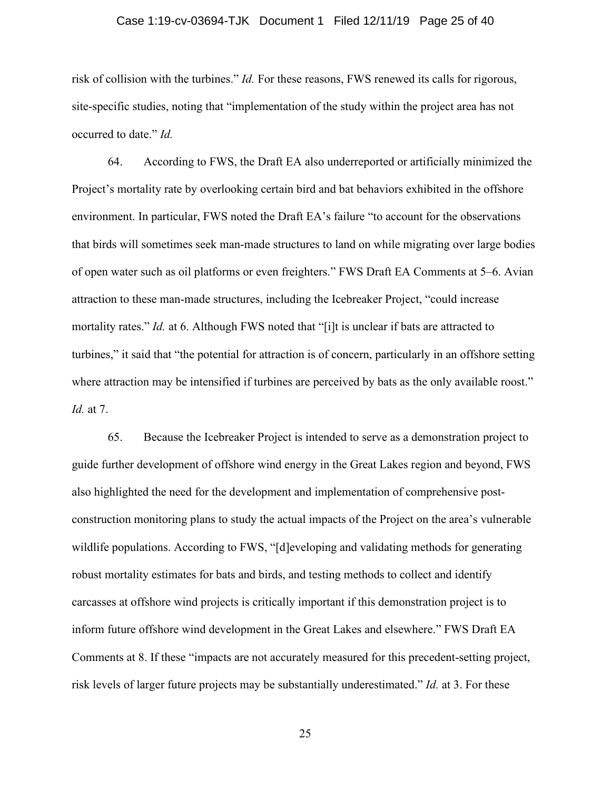#### Case 1:19-cv-03694-TJK Document 1 Filed 12/11/19 Page 25 of 40

risk of collision with the turbines." *Id.* For these reasons, FWS renewed its calls for rigorous, site-specific studies, noting that "implementation of the study within the project area has not occurred to date." *Id.*

64. According to FWS, the Draft EA also underreported or artificially minimized the Project's mortality rate by overlooking certain bird and bat behaviors exhibited in the offshore environment. In particular, FWS noted the Draft EA's failure "to account for the observations that birds will sometimes seek man-made structures to land on while migrating over large bodies of open water such as oil platforms or even freighters." FWS Draft EA Comments at 5–6. Avian attraction to these man-made structures, including the Icebreaker Project, "could increase mortality rates." *Id.* at 6. Although FWS noted that "[i]t is unclear if bats are attracted to turbines," it said that "the potential for attraction is of concern, particularly in an offshore setting where attraction may be intensified if turbines are perceived by bats as the only available roost." *Id.* at 7.

65. Because the Icebreaker Project is intended to serve as a demonstration project to guide further development of offshore wind energy in the Great Lakes region and beyond, FWS also highlighted the need for the development and implementation of comprehensive postconstruction monitoring plans to study the actual impacts of the Project on the area's vulnerable wildlife populations. According to FWS, "[d]eveloping and validating methods for generating robust mortality estimates for bats and birds, and testing methods to collect and identify carcasses at offshore wind projects is critically important if this demonstration project is to inform future offshore wind development in the Great Lakes and elsewhere." FWS Draft EA Comments at 8. If these "impacts are not accurately measured for this precedent-setting project, risk levels of larger future projects may be substantially underestimated." *Id.* at 3. For these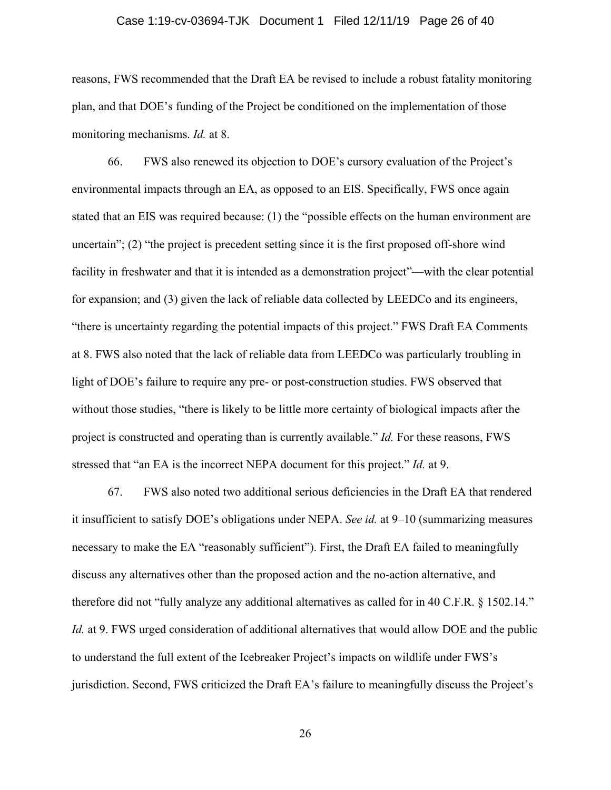#### Case 1:19-cv-03694-TJK Document 1 Filed 12/11/19 Page 26 of 40

reasons, FWS recommended that the Draft EA be revised to include a robust fatality monitoring plan, and that DOE's funding of the Project be conditioned on the implementation of those monitoring mechanisms. *Id.* at 8.

66. FWS also renewed its objection to DOE's cursory evaluation of the Project's environmental impacts through an EA, as opposed to an EIS. Specifically, FWS once again stated that an EIS was required because: (1) the "possible effects on the human environment are uncertain"; (2) "the project is precedent setting since it is the first proposed off-shore wind facility in freshwater and that it is intended as a demonstration project"—with the clear potential for expansion; and (3) given the lack of reliable data collected by LEEDCo and its engineers, "there is uncertainty regarding the potential impacts of this project." FWS Draft EA Comments at 8. FWS also noted that the lack of reliable data from LEEDCo was particularly troubling in light of DOE's failure to require any pre- or post-construction studies. FWS observed that without those studies, "there is likely to be little more certainty of biological impacts after the project is constructed and operating than is currently available." *Id.* For these reasons, FWS stressed that "an EA is the incorrect NEPA document for this project." *Id.* at 9.

67. FWS also noted two additional serious deficiencies in the Draft EA that rendered it insufficient to satisfy DOE's obligations under NEPA. *See id.* at 9–10 (summarizing measures necessary to make the EA "reasonably sufficient"). First, the Draft EA failed to meaningfully discuss any alternatives other than the proposed action and the no-action alternative, and therefore did not "fully analyze any additional alternatives as called for in 40 C.F.R. § 1502.14." *Id.* at 9. FWS urged consideration of additional alternatives that would allow DOE and the public to understand the full extent of the Icebreaker Project's impacts on wildlife under FWS's jurisdiction. Second, FWS criticized the Draft EA's failure to meaningfully discuss the Project's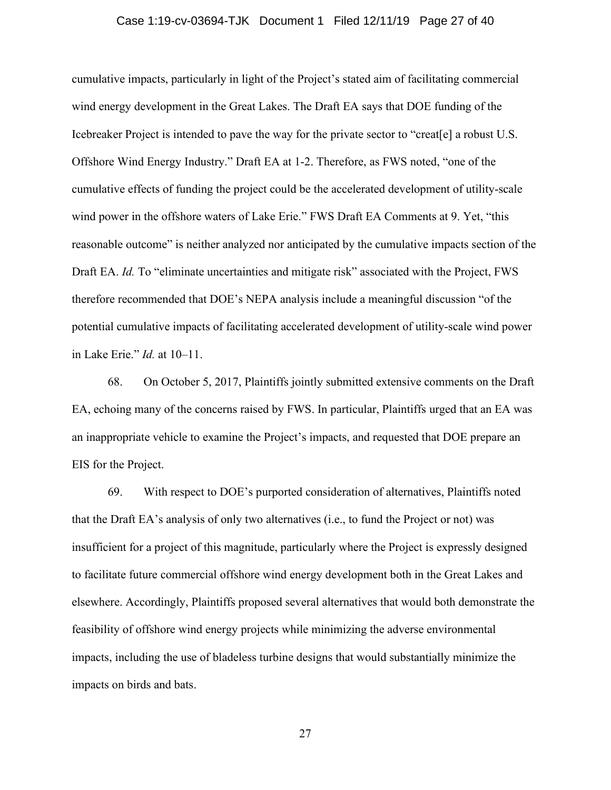#### Case 1:19-cv-03694-TJK Document 1 Filed 12/11/19 Page 27 of 40

cumulative impacts, particularly in light of the Project's stated aim of facilitating commercial wind energy development in the Great Lakes. The Draft EA says that DOE funding of the Icebreaker Project is intended to pave the way for the private sector to "creat[e] a robust U.S. Offshore Wind Energy Industry." Draft EA at 1-2. Therefore, as FWS noted, "one of the cumulative effects of funding the project could be the accelerated development of utility-scale wind power in the offshore waters of Lake Erie." FWS Draft EA Comments at 9. Yet, "this reasonable outcome" is neither analyzed nor anticipated by the cumulative impacts section of the Draft EA. *Id.* To "eliminate uncertainties and mitigate risk" associated with the Project, FWS therefore recommended that DOE's NEPA analysis include a meaningful discussion "of the potential cumulative impacts of facilitating accelerated development of utility-scale wind power in Lake Erie." *Id.* at 10–11.

68. On October 5, 2017, Plaintiffs jointly submitted extensive comments on the Draft EA, echoing many of the concerns raised by FWS. In particular, Plaintiffs urged that an EA was an inappropriate vehicle to examine the Project's impacts, and requested that DOE prepare an EIS for the Project.

69. With respect to DOE's purported consideration of alternatives, Plaintiffs noted that the Draft EA's analysis of only two alternatives (i.e., to fund the Project or not) was insufficient for a project of this magnitude, particularly where the Project is expressly designed to facilitate future commercial offshore wind energy development both in the Great Lakes and elsewhere. Accordingly, Plaintiffs proposed several alternatives that would both demonstrate the feasibility of offshore wind energy projects while minimizing the adverse environmental impacts, including the use of bladeless turbine designs that would substantially minimize the impacts on birds and bats.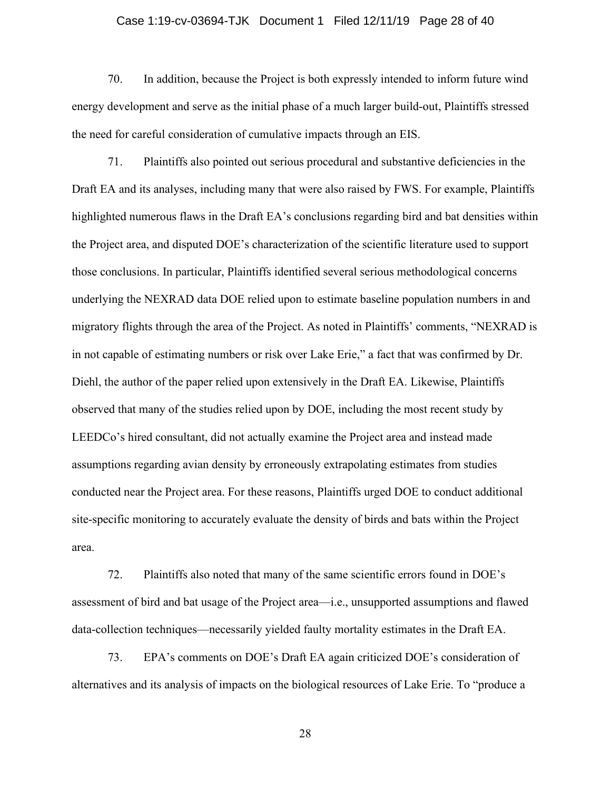#### Case 1:19-cv-03694-TJK Document 1 Filed 12/11/19 Page 28 of 40

70. In addition, because the Project is both expressly intended to inform future wind energy development and serve as the initial phase of a much larger build-out, Plaintiffs stressed the need for careful consideration of cumulative impacts through an EIS.

71. Plaintiffs also pointed out serious procedural and substantive deficiencies in the Draft EA and its analyses, including many that were also raised by FWS. For example, Plaintiffs highlighted numerous flaws in the Draft EA's conclusions regarding bird and bat densities within the Project area, and disputed DOE's characterization of the scientific literature used to support those conclusions. In particular, Plaintiffs identified several serious methodological concerns underlying the NEXRAD data DOE relied upon to estimate baseline population numbers in and migratory flights through the area of the Project. As noted in Plaintiffs' comments, "NEXRAD is in not capable of estimating numbers or risk over Lake Erie," a fact that was confirmed by Dr. Diehl, the author of the paper relied upon extensively in the Draft EA. Likewise, Plaintiffs observed that many of the studies relied upon by DOE, including the most recent study by LEEDCo's hired consultant, did not actually examine the Project area and instead made assumptions regarding avian density by erroneously extrapolating estimates from studies conducted near the Project area. For these reasons, Plaintiffs urged DOE to conduct additional site-specific monitoring to accurately evaluate the density of birds and bats within the Project area.

72. Plaintiffs also noted that many of the same scientific errors found in DOE's assessment of bird and bat usage of the Project area—i.e., unsupported assumptions and flawed data-collection techniques—necessarily yielded faulty mortality estimates in the Draft EA.

73. EPA's comments on DOE's Draft EA again criticized DOE's consideration of alternatives and its analysis of impacts on the biological resources of Lake Erie. To "produce a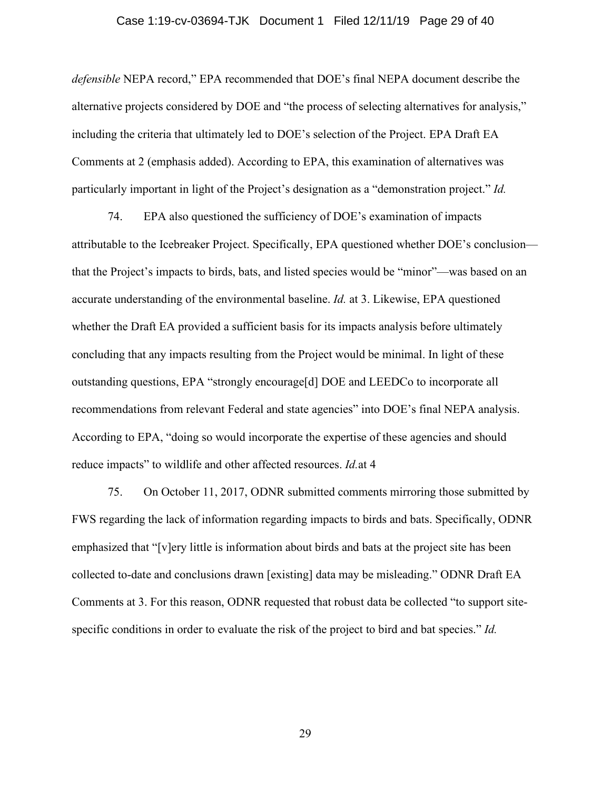#### Case 1:19-cv-03694-TJK Document 1 Filed 12/11/19 Page 29 of 40

*defensible* NEPA record," EPA recommended that DOE's final NEPA document describe the alternative projects considered by DOE and "the process of selecting alternatives for analysis," including the criteria that ultimately led to DOE's selection of the Project. EPA Draft EA Comments at 2 (emphasis added). According to EPA, this examination of alternatives was particularly important in light of the Project's designation as a "demonstration project." *Id.*

74. EPA also questioned the sufficiency of DOE's examination of impacts attributable to the Icebreaker Project. Specifically, EPA questioned whether DOE's conclusion that the Project's impacts to birds, bats, and listed species would be "minor"—was based on an accurate understanding of the environmental baseline. *Id.* at 3. Likewise, EPA questioned whether the Draft EA provided a sufficient basis for its impacts analysis before ultimately concluding that any impacts resulting from the Project would be minimal. In light of these outstanding questions, EPA "strongly encourage[d] DOE and LEEDCo to incorporate all recommendations from relevant Federal and state agencies" into DOE's final NEPA analysis. According to EPA, "doing so would incorporate the expertise of these agencies and should reduce impacts" to wildlife and other affected resources. *Id.*at 4

75. On October 11, 2017, ODNR submitted comments mirroring those submitted by FWS regarding the lack of information regarding impacts to birds and bats. Specifically, ODNR emphasized that "[v]ery little is information about birds and bats at the project site has been collected to-date and conclusions drawn [existing] data may be misleading." ODNR Draft EA Comments at 3. For this reason, ODNR requested that robust data be collected "to support sitespecific conditions in order to evaluate the risk of the project to bird and bat species." *Id.*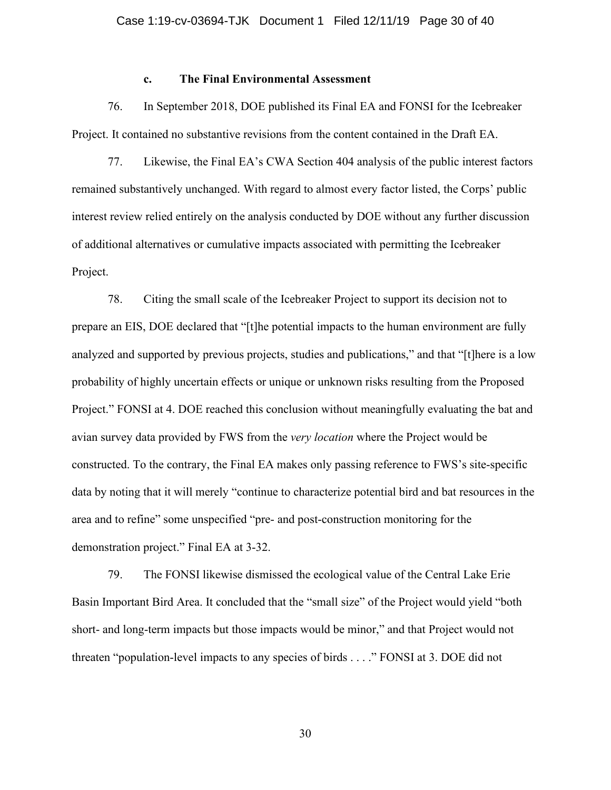### **c. The Final Environmental Assessment**

76. In September 2018, DOE published its Final EA and FONSI for the Icebreaker Project. It contained no substantive revisions from the content contained in the Draft EA.

77. Likewise, the Final EA's CWA Section 404 analysis of the public interest factors remained substantively unchanged. With regard to almost every factor listed, the Corps' public interest review relied entirely on the analysis conducted by DOE without any further discussion of additional alternatives or cumulative impacts associated with permitting the Icebreaker Project.

78. Citing the small scale of the Icebreaker Project to support its decision not to prepare an EIS, DOE declared that "[t]he potential impacts to the human environment are fully analyzed and supported by previous projects, studies and publications," and that "[t]here is a low probability of highly uncertain effects or unique or unknown risks resulting from the Proposed Project." FONSI at 4. DOE reached this conclusion without meaningfully evaluating the bat and avian survey data provided by FWS from the *very location* where the Project would be constructed. To the contrary, the Final EA makes only passing reference to FWS's site-specific data by noting that it will merely "continue to characterize potential bird and bat resources in the area and to refine" some unspecified "pre- and post-construction monitoring for the demonstration project." Final EA at 3-32.

79. The FONSI likewise dismissed the ecological value of the Central Lake Erie Basin Important Bird Area. It concluded that the "small size" of the Project would yield "both short- and long-term impacts but those impacts would be minor," and that Project would not threaten "population-level impacts to any species of birds . . . ." FONSI at 3. DOE did not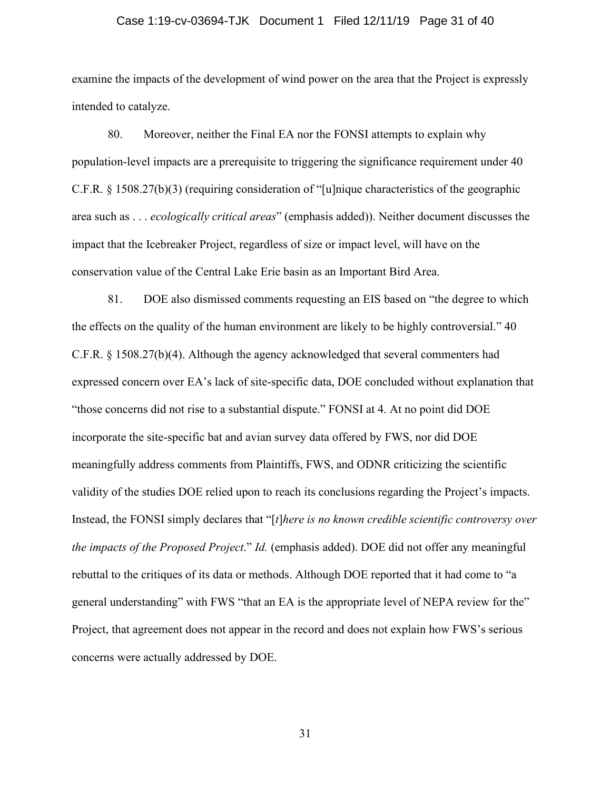#### Case 1:19-cv-03694-TJK Document 1 Filed 12/11/19 Page 31 of 40

examine the impacts of the development of wind power on the area that the Project is expressly intended to catalyze.

80. Moreover, neither the Final EA nor the FONSI attempts to explain why population-level impacts are a prerequisite to triggering the significance requirement under 40 C.F.R. § 1508.27(b)(3) (requiring consideration of "[u]nique characteristics of the geographic area such as . . . *ecologically critical areas*" (emphasis added)). Neither document discusses the impact that the Icebreaker Project, regardless of size or impact level, will have on the conservation value of the Central Lake Erie basin as an Important Bird Area.

81. DOE also dismissed comments requesting an EIS based on "the degree to which the effects on the quality of the human environment are likely to be highly controversial." 40 C.F.R. § 1508.27(b)(4). Although the agency acknowledged that several commenters had expressed concern over EA's lack of site-specific data, DOE concluded without explanation that "those concerns did not rise to a substantial dispute." FONSI at 4. At no point did DOE incorporate the site-specific bat and avian survey data offered by FWS, nor did DOE meaningfully address comments from Plaintiffs, FWS, and ODNR criticizing the scientific validity of the studies DOE relied upon to reach its conclusions regarding the Project's impacts. Instead, the FONSI simply declares that "[*t*]*here is no known credible scientific controversy over the impacts of the Proposed Project*." *Id.* (emphasis added). DOE did not offer any meaningful rebuttal to the critiques of its data or methods. Although DOE reported that it had come to "a general understanding" with FWS "that an EA is the appropriate level of NEPA review for the" Project, that agreement does not appear in the record and does not explain how FWS's serious concerns were actually addressed by DOE.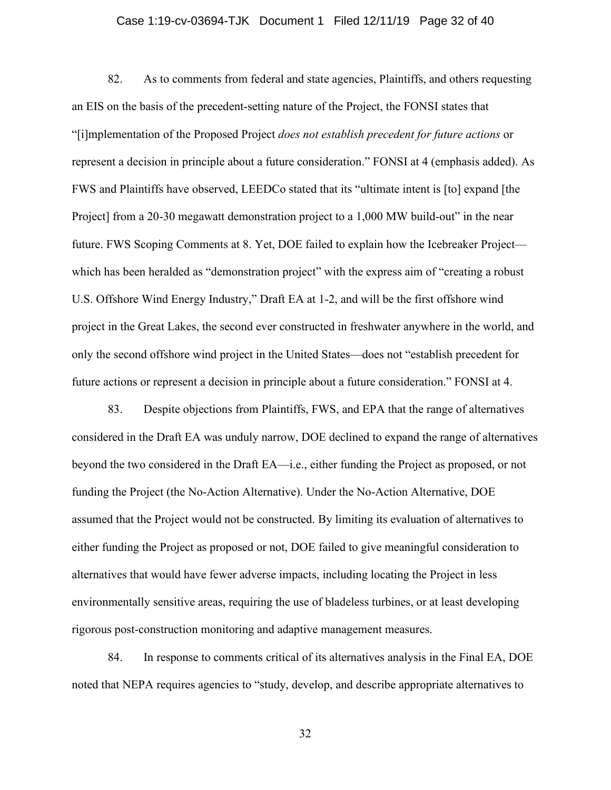#### Case 1:19-cv-03694-TJK Document 1 Filed 12/11/19 Page 32 of 40

82. As to comments from federal and state agencies, Plaintiffs, and others requesting an EIS on the basis of the precedent-setting nature of the Project, the FONSI states that "[i]mplementation of the Proposed Project *does not establish precedent for future actions* or represent a decision in principle about a future consideration." FONSI at 4 (emphasis added). As FWS and Plaintiffs have observed, LEEDCo stated that its "ultimate intent is [to] expand [the Project] from a 20-30 megawatt demonstration project to a 1,000 MW build-out" in the near future. FWS Scoping Comments at 8. Yet, DOE failed to explain how the Icebreaker Project which has been heralded as "demonstration project" with the express aim of "creating a robust U.S. Offshore Wind Energy Industry," Draft EA at 1-2, and will be the first offshore wind project in the Great Lakes, the second ever constructed in freshwater anywhere in the world, and only the second offshore wind project in the United States—does not "establish precedent for future actions or represent a decision in principle about a future consideration." FONSI at 4.

83. Despite objections from Plaintiffs, FWS, and EPA that the range of alternatives considered in the Draft EA was unduly narrow, DOE declined to expand the range of alternatives beyond the two considered in the Draft EA—i.e., either funding the Project as proposed, or not funding the Project (the No-Action Alternative). Under the No-Action Alternative, DOE assumed that the Project would not be constructed. By limiting its evaluation of alternatives to either funding the Project as proposed or not, DOE failed to give meaningful consideration to alternatives that would have fewer adverse impacts, including locating the Project in less environmentally sensitive areas, requiring the use of bladeless turbines, or at least developing rigorous post-construction monitoring and adaptive management measures.

84. In response to comments critical of its alternatives analysis in the Final EA, DOE noted that NEPA requires agencies to "study, develop, and describe appropriate alternatives to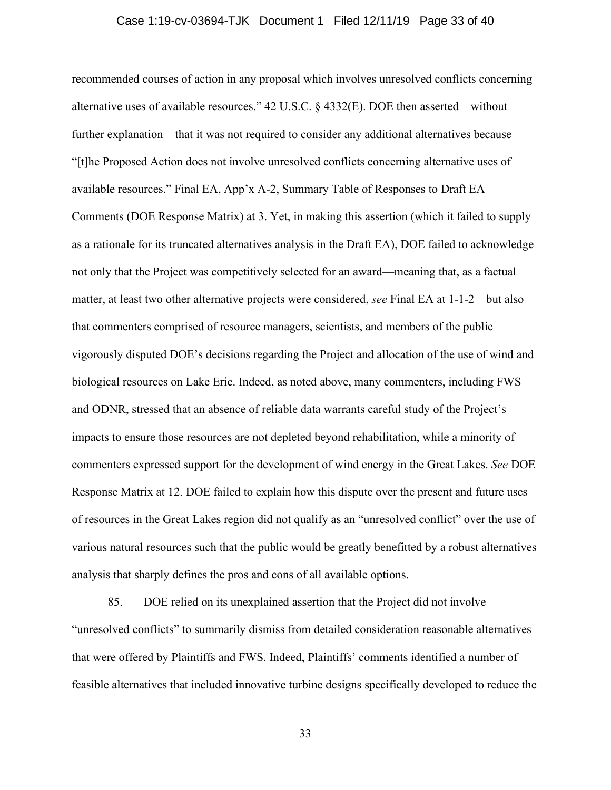#### Case 1:19-cv-03694-TJK Document 1 Filed 12/11/19 Page 33 of 40

recommended courses of action in any proposal which involves unresolved conflicts concerning alternative uses of available resources." 42 U.S.C. § 4332(E). DOE then asserted—without further explanation—that it was not required to consider any additional alternatives because "[t]he Proposed Action does not involve unresolved conflicts concerning alternative uses of available resources." Final EA, App'x A-2, Summary Table of Responses to Draft EA Comments (DOE Response Matrix) at 3. Yet, in making this assertion (which it failed to supply as a rationale for its truncated alternatives analysis in the Draft EA), DOE failed to acknowledge not only that the Project was competitively selected for an award—meaning that, as a factual matter, at least two other alternative projects were considered, *see* Final EA at 1-1-2—but also that commenters comprised of resource managers, scientists, and members of the public vigorously disputed DOE's decisions regarding the Project and allocation of the use of wind and biological resources on Lake Erie. Indeed, as noted above, many commenters, including FWS and ODNR, stressed that an absence of reliable data warrants careful study of the Project's impacts to ensure those resources are not depleted beyond rehabilitation, while a minority of commenters expressed support for the development of wind energy in the Great Lakes. *See* DOE Response Matrix at 12. DOE failed to explain how this dispute over the present and future uses of resources in the Great Lakes region did not qualify as an "unresolved conflict" over the use of various natural resources such that the public would be greatly benefitted by a robust alternatives analysis that sharply defines the pros and cons of all available options.

85. DOE relied on its unexplained assertion that the Project did not involve "unresolved conflicts" to summarily dismiss from detailed consideration reasonable alternatives that were offered by Plaintiffs and FWS. Indeed, Plaintiffs' comments identified a number of feasible alternatives that included innovative turbine designs specifically developed to reduce the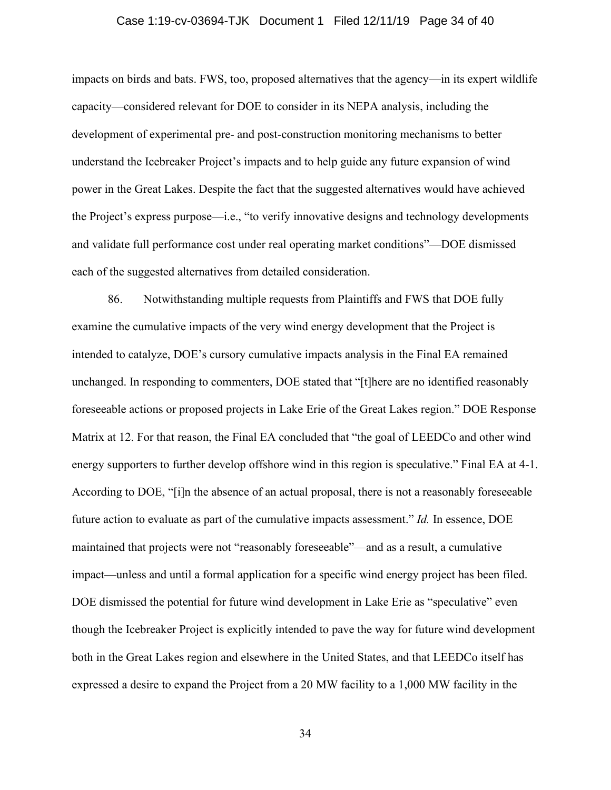#### Case 1:19-cv-03694-TJK Document 1 Filed 12/11/19 Page 34 of 40

impacts on birds and bats. FWS, too, proposed alternatives that the agency—in its expert wildlife capacity—considered relevant for DOE to consider in its NEPA analysis, including the development of experimental pre- and post-construction monitoring mechanisms to better understand the Icebreaker Project's impacts and to help guide any future expansion of wind power in the Great Lakes. Despite the fact that the suggested alternatives would have achieved the Project's express purpose—i.e., "to verify innovative designs and technology developments and validate full performance cost under real operating market conditions"—DOE dismissed each of the suggested alternatives from detailed consideration.

86. Notwithstanding multiple requests from Plaintiffs and FWS that DOE fully examine the cumulative impacts of the very wind energy development that the Project is intended to catalyze, DOE's cursory cumulative impacts analysis in the Final EA remained unchanged. In responding to commenters, DOE stated that "[t]here are no identified reasonably foreseeable actions or proposed projects in Lake Erie of the Great Lakes region." DOE Response Matrix at 12. For that reason, the Final EA concluded that "the goal of LEEDCo and other wind energy supporters to further develop offshore wind in this region is speculative." Final EA at 4-1. According to DOE, "[i]n the absence of an actual proposal, there is not a reasonably foreseeable future action to evaluate as part of the cumulative impacts assessment." *Id.* In essence, DOE maintained that projects were not "reasonably foreseeable"—and as a result, a cumulative impact—unless and until a formal application for a specific wind energy project has been filed. DOE dismissed the potential for future wind development in Lake Erie as "speculative" even though the Icebreaker Project is explicitly intended to pave the way for future wind development both in the Great Lakes region and elsewhere in the United States, and that LEEDCo itself has expressed a desire to expand the Project from a 20 MW facility to a 1,000 MW facility in the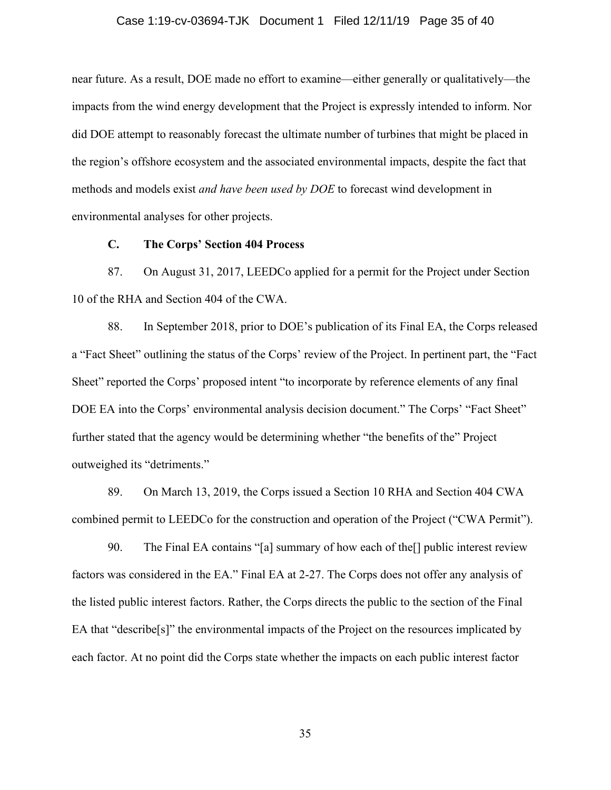#### Case 1:19-cv-03694-TJK Document 1 Filed 12/11/19 Page 35 of 40

near future. As a result, DOE made no effort to examine—either generally or qualitatively—the impacts from the wind energy development that the Project is expressly intended to inform. Nor did DOE attempt to reasonably forecast the ultimate number of turbines that might be placed in the region's offshore ecosystem and the associated environmental impacts, despite the fact that methods and models exist *and have been used by DOE* to forecast wind development in environmental analyses for other projects.

# **C. The Corps' Section 404 Process**

87. On August 31, 2017, LEEDCo applied for a permit for the Project under Section 10 of the RHA and Section 404 of the CWA.

88. In September 2018, prior to DOE's publication of its Final EA, the Corps released a "Fact Sheet" outlining the status of the Corps' review of the Project. In pertinent part, the "Fact Sheet" reported the Corps' proposed intent "to incorporate by reference elements of any final DOE EA into the Corps' environmental analysis decision document." The Corps' "Fact Sheet" further stated that the agency would be determining whether "the benefits of the" Project outweighed its "detriments."

89. On March 13, 2019, the Corps issued a Section 10 RHA and Section 404 CWA combined permit to LEEDCo for the construction and operation of the Project ("CWA Permit").

90. The Final EA contains "[a] summary of how each of the[] public interest review factors was considered in the EA." Final EA at 2-27. The Corps does not offer any analysis of the listed public interest factors. Rather, the Corps directs the public to the section of the Final EA that "describe[s]" the environmental impacts of the Project on the resources implicated by each factor. At no point did the Corps state whether the impacts on each public interest factor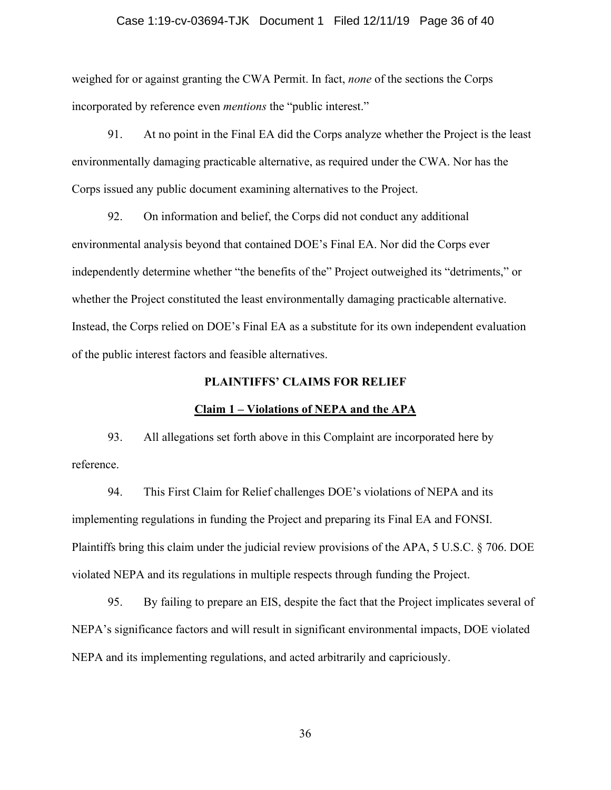#### Case 1:19-cv-03694-TJK Document 1 Filed 12/11/19 Page 36 of 40

weighed for or against granting the CWA Permit. In fact, *none* of the sections the Corps incorporated by reference even *mentions* the "public interest."

91. At no point in the Final EA did the Corps analyze whether the Project is the least environmentally damaging practicable alternative, as required under the CWA. Nor has the Corps issued any public document examining alternatives to the Project.

92. On information and belief, the Corps did not conduct any additional environmental analysis beyond that contained DOE's Final EA. Nor did the Corps ever independently determine whether "the benefits of the" Project outweighed its "detriments," or whether the Project constituted the least environmentally damaging practicable alternative. Instead, the Corps relied on DOE's Final EA as a substitute for its own independent evaluation of the public interest factors and feasible alternatives.

## **PLAINTIFFS' CLAIMS FOR RELIEF**

#### **Claim 1 – Violations of NEPA and the APA**

93. All allegations set forth above in this Complaint are incorporated here by reference.

94. This First Claim for Relief challenges DOE's violations of NEPA and its implementing regulations in funding the Project and preparing its Final EA and FONSI. Plaintiffs bring this claim under the judicial review provisions of the APA, 5 U.S.C. § 706. DOE violated NEPA and its regulations in multiple respects through funding the Project.

95. By failing to prepare an EIS, despite the fact that the Project implicates several of NEPA's significance factors and will result in significant environmental impacts, DOE violated NEPA and its implementing regulations, and acted arbitrarily and capriciously.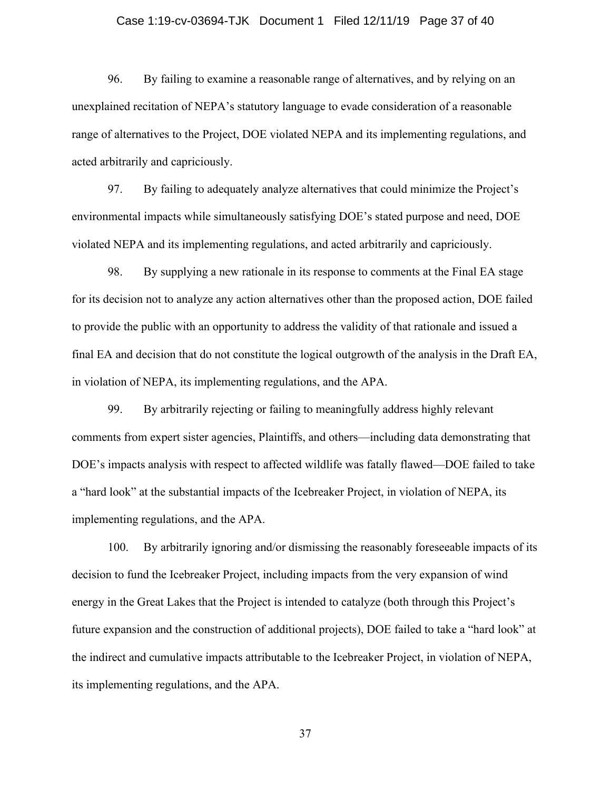#### Case 1:19-cv-03694-TJK Document 1 Filed 12/11/19 Page 37 of 40

96. By failing to examine a reasonable range of alternatives, and by relying on an unexplained recitation of NEPA's statutory language to evade consideration of a reasonable range of alternatives to the Project, DOE violated NEPA and its implementing regulations, and acted arbitrarily and capriciously.

97. By failing to adequately analyze alternatives that could minimize the Project's environmental impacts while simultaneously satisfying DOE's stated purpose and need, DOE violated NEPA and its implementing regulations, and acted arbitrarily and capriciously.

98. By supplying a new rationale in its response to comments at the Final EA stage for its decision not to analyze any action alternatives other than the proposed action, DOE failed to provide the public with an opportunity to address the validity of that rationale and issued a final EA and decision that do not constitute the logical outgrowth of the analysis in the Draft EA, in violation of NEPA, its implementing regulations, and the APA.

99. By arbitrarily rejecting or failing to meaningfully address highly relevant comments from expert sister agencies, Plaintiffs, and others—including data demonstrating that DOE's impacts analysis with respect to affected wildlife was fatally flawed—DOE failed to take a "hard look" at the substantial impacts of the Icebreaker Project, in violation of NEPA, its implementing regulations, and the APA.

100. By arbitrarily ignoring and/or dismissing the reasonably foreseeable impacts of its decision to fund the Icebreaker Project, including impacts from the very expansion of wind energy in the Great Lakes that the Project is intended to catalyze (both through this Project's future expansion and the construction of additional projects), DOE failed to take a "hard look" at the indirect and cumulative impacts attributable to the Icebreaker Project, in violation of NEPA, its implementing regulations, and the APA.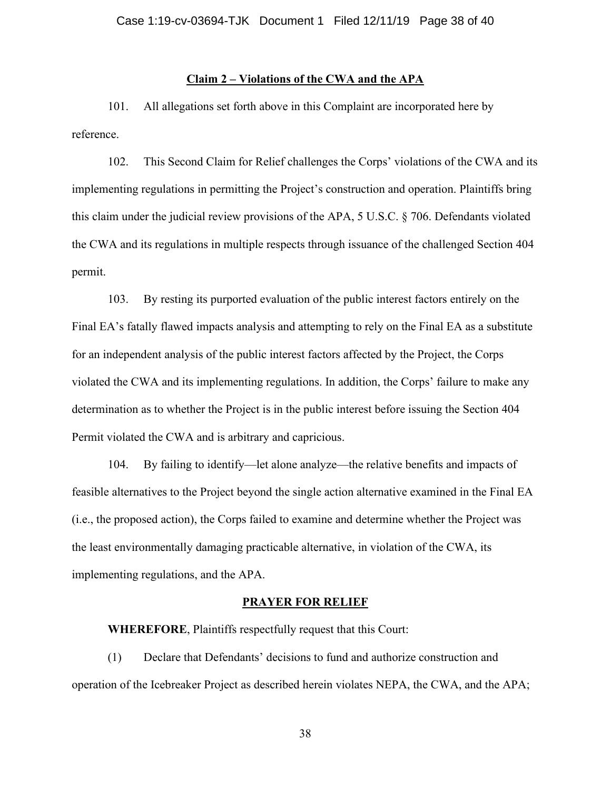# **Claim 2 – Violations of the CWA and the APA**

101. All allegations set forth above in this Complaint are incorporated here by reference.

102. This Second Claim for Relief challenges the Corps' violations of the CWA and its implementing regulations in permitting the Project's construction and operation. Plaintiffs bring this claim under the judicial review provisions of the APA, 5 U.S.C. § 706. Defendants violated the CWA and its regulations in multiple respects through issuance of the challenged Section 404 permit.

103. By resting its purported evaluation of the public interest factors entirely on the Final EA's fatally flawed impacts analysis and attempting to rely on the Final EA as a substitute for an independent analysis of the public interest factors affected by the Project, the Corps violated the CWA and its implementing regulations. In addition, the Corps' failure to make any determination as to whether the Project is in the public interest before issuing the Section 404 Permit violated the CWA and is arbitrary and capricious.

104. By failing to identify—let alone analyze—the relative benefits and impacts of feasible alternatives to the Project beyond the single action alternative examined in the Final EA (i.e., the proposed action), the Corps failed to examine and determine whether the Project was the least environmentally damaging practicable alternative, in violation of the CWA, its implementing regulations, and the APA.

#### **PRAYER FOR RELIEF**

**WHEREFORE**, Plaintiffs respectfully request that this Court:

(1) Declare that Defendants' decisions to fund and authorize construction and operation of the Icebreaker Project as described herein violates NEPA, the CWA, and the APA;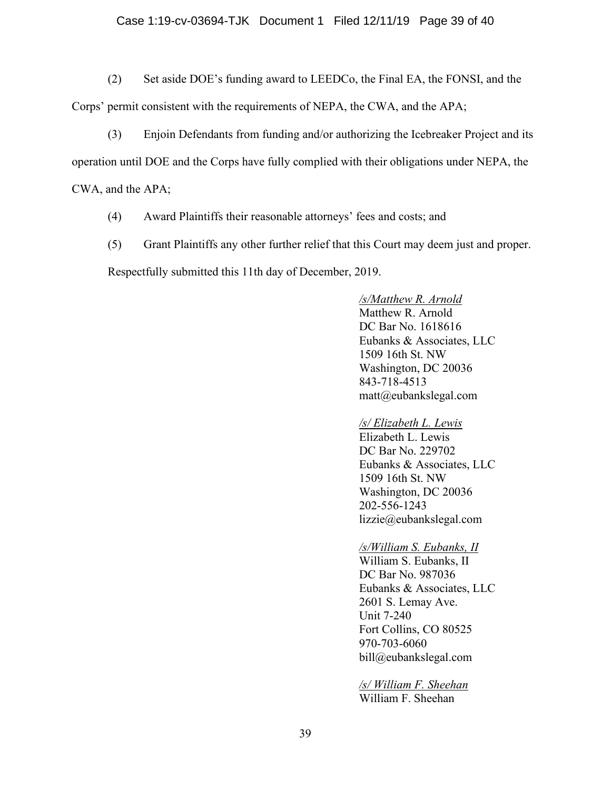# Case 1:19-cv-03694-TJK Document 1 Filed 12/11/19 Page 39 of 40

(2) Set aside DOE's funding award to LEEDCo, the Final EA, the FONSI, and the

Corps' permit consistent with the requirements of NEPA, the CWA, and the APA;

(3) Enjoin Defendants from funding and/or authorizing the Icebreaker Project and its

operation until DOE and the Corps have fully complied with their obligations under NEPA, the

CWA, and the APA;

- (4) Award Plaintiffs their reasonable attorneys' fees and costs; and
- (5) Grant Plaintiffs any other further relief that this Court may deem just and proper.

Respectfully submitted this 11th day of December, 2019.

*/s/Matthew R. Arnold* Matthew R. Arnold DC Bar No. 1618616 Eubanks & Associates, LLC 1509 16th St. NW Washington, DC 20036 843-718-4513 matt@eubankslegal.com

# */s/ Elizabeth L. Lewis*

Elizabeth L. Lewis DC Bar No. 229702 Eubanks & Associates, LLC 1509 16th St. NW Washington, DC 20036 202-556-1243 lizzie@eubankslegal.com

# */s/William S. Eubanks, II*

William S. Eubanks, II DC Bar No. 987036 Eubanks & Associates, LLC 2601 S. Lemay Ave. Unit 7-240 Fort Collins, CO 80525 970-703-6060 bill@eubankslegal.com

*/s/ William F. Sheehan* William F. Sheehan